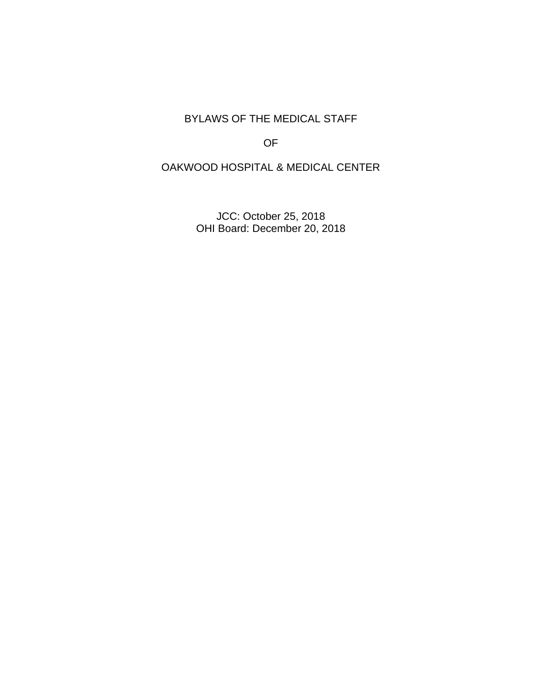BYLAWS OF THE MEDICAL STAFF

OF

OAKWOOD HOSPITAL & MEDICAL CENTER

JCC: October 25, 2018 OHI Board: December 20, 2018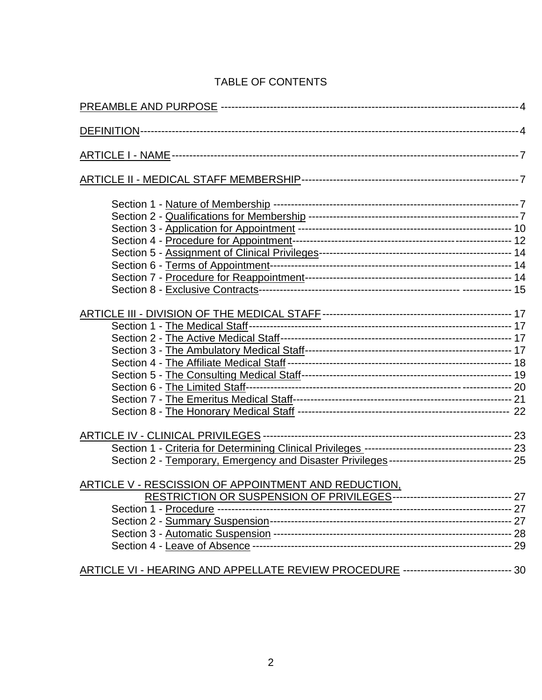# TABLE OF CONTENTS

| Section 2 - Temporary, Emergency and Disaster Privileges --------------------------------- 25 |  |
|-----------------------------------------------------------------------------------------------|--|
| ARTICLE V - RESCISSION OF APPOINTMENT AND REDUCTION,                                          |  |
| RESTRICTION OR SUSPENSION OF PRIVILEGES--------------------------------- 27                   |  |
|                                                                                               |  |
|                                                                                               |  |
|                                                                                               |  |
|                                                                                               |  |
| ARTICLE VI - HEARING AND APPELLATE REVIEW PROCEDURE ----------------------------- 30          |  |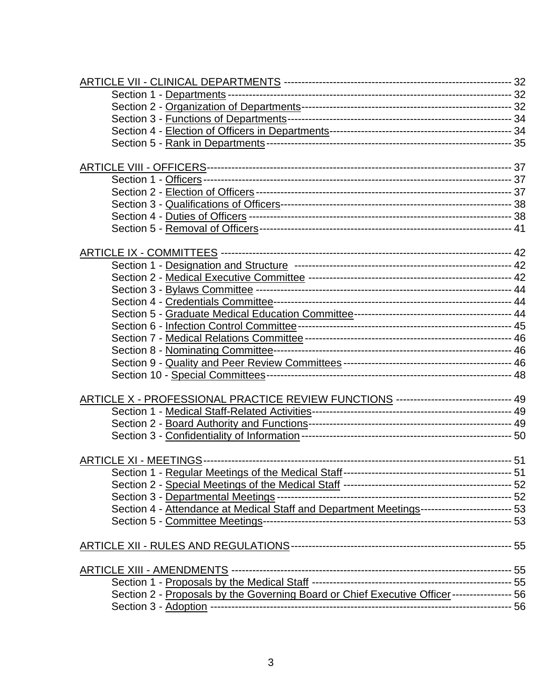| ARTICLE X - PROFESSIONAL PRACTICE REVIEW FUNCTIONS ------------------------------ 49        |  |
|---------------------------------------------------------------------------------------------|--|
|                                                                                             |  |
|                                                                                             |  |
|                                                                                             |  |
|                                                                                             |  |
|                                                                                             |  |
|                                                                                             |  |
|                                                                                             |  |
| Section 4 - Attendance at Medical Staff and Department Meetings------------------------ 53  |  |
|                                                                                             |  |
|                                                                                             |  |
|                                                                                             |  |
|                                                                                             |  |
|                                                                                             |  |
| Section 2 - Proposals by the Governing Board or Chief Executive Officer ---------------- 56 |  |
|                                                                                             |  |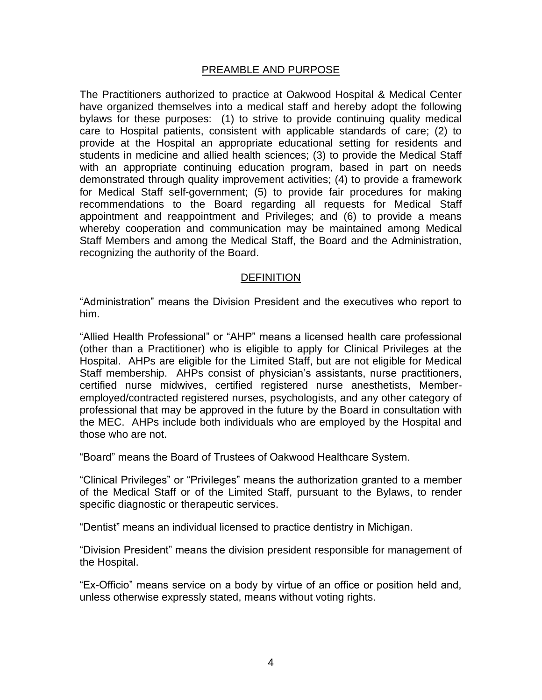#### PREAMBLE AND PURPOSE

The Practitioners authorized to practice at Oakwood Hospital & Medical Center have organized themselves into a medical staff and hereby adopt the following bylaws for these purposes: (1) to strive to provide continuing quality medical care to Hospital patients, consistent with applicable standards of care; (2) to provide at the Hospital an appropriate educational setting for residents and students in medicine and allied health sciences; (3) to provide the Medical Staff with an appropriate continuing education program, based in part on needs demonstrated through quality improvement activities; (4) to provide a framework for Medical Staff self-government; (5) to provide fair procedures for making recommendations to the Board regarding all requests for Medical Staff appointment and reappointment and Privileges; and (6) to provide a means whereby cooperation and communication may be maintained among Medical Staff Members and among the Medical Staff, the Board and the Administration, recognizing the authority of the Board.

#### **DEFINITION**

"Administration" means the Division President and the executives who report to him.

"Allied Health Professional" or "AHP" means a licensed health care professional (other than a Practitioner) who is eligible to apply for Clinical Privileges at the Hospital. AHPs are eligible for the Limited Staff, but are not eligible for Medical Staff membership. AHPs consist of physician's assistants, nurse practitioners, certified nurse midwives, certified registered nurse anesthetists, Memberemployed/contracted registered nurses, psychologists, and any other category of professional that may be approved in the future by the Board in consultation with the MEC. AHPs include both individuals who are employed by the Hospital and those who are not.

"Board" means the Board of Trustees of Oakwood Healthcare System.

"Clinical Privileges" or "Privileges" means the authorization granted to a member of the Medical Staff or of the Limited Staff, pursuant to the Bylaws, to render specific diagnostic or therapeutic services.

"Dentist" means an individual licensed to practice dentistry in Michigan.

"Division President" means the division president responsible for management of the Hospital.

"Ex-Officio" means service on a body by virtue of an office or position held and, unless otherwise expressly stated, means without voting rights.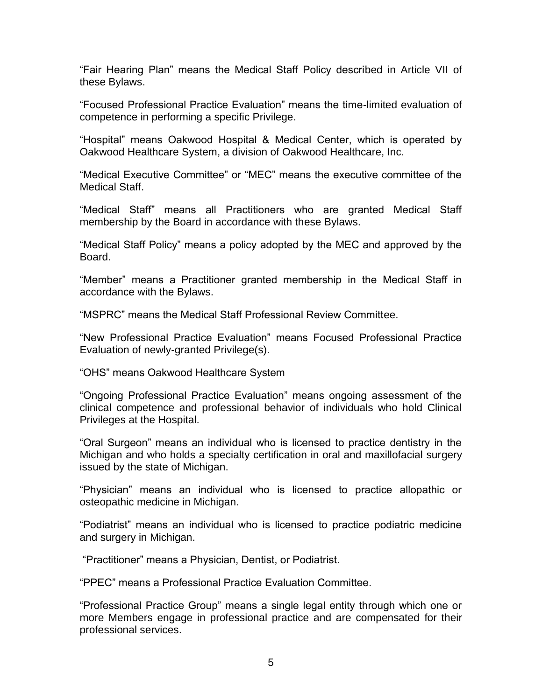"Fair Hearing Plan" means the Medical Staff Policy described in Article VII of these Bylaws.

"Focused Professional Practice Evaluation" means the time-limited evaluation of competence in performing a specific Privilege.

"Hospital" means Oakwood Hospital & Medical Center, which is operated by Oakwood Healthcare System, a division of Oakwood Healthcare, Inc.

"Medical Executive Committee" or "MEC" means the executive committee of the Medical Staff.

"Medical Staff" means all Practitioners who are granted Medical Staff membership by the Board in accordance with these Bylaws.

"Medical Staff Policy" means a policy adopted by the MEC and approved by the Board.

"Member" means a Practitioner granted membership in the Medical Staff in accordance with the Bylaws.

"MSPRC" means the Medical Staff Professional Review Committee.

"New Professional Practice Evaluation" means Focused Professional Practice Evaluation of newly-granted Privilege(s).

"OHS" means Oakwood Healthcare System

"Ongoing Professional Practice Evaluation" means ongoing assessment of the clinical competence and professional behavior of individuals who hold Clinical Privileges at the Hospital.

"Oral Surgeon" means an individual who is licensed to practice dentistry in the Michigan and who holds a specialty certification in oral and maxillofacial surgery issued by the state of Michigan.

"Physician" means an individual who is licensed to practice allopathic or osteopathic medicine in Michigan.

"Podiatrist" means an individual who is licensed to practice podiatric medicine and surgery in Michigan.

"Practitioner" means a Physician, Dentist, or Podiatrist.

"PPEC" means a Professional Practice Evaluation Committee.

"Professional Practice Group" means a single legal entity through which one or more Members engage in professional practice and are compensated for their professional services.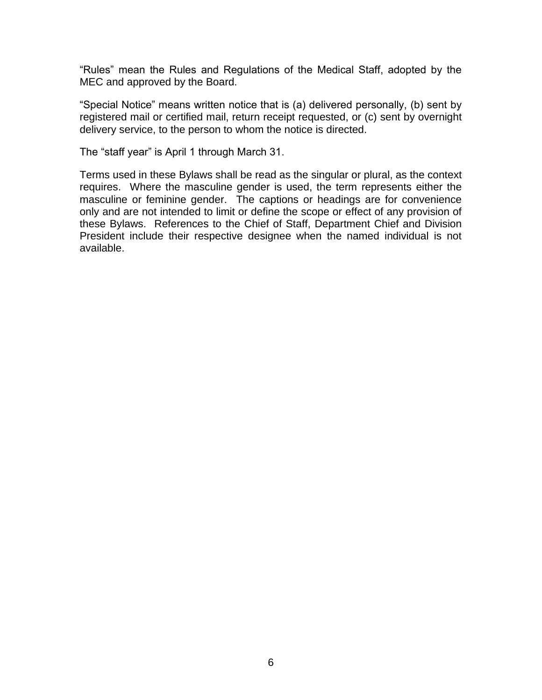"Rules" mean the Rules and Regulations of the Medical Staff, adopted by the MEC and approved by the Board.

"Special Notice" means written notice that is (a) delivered personally, (b) sent by registered mail or certified mail, return receipt requested, or (c) sent by overnight delivery service, to the person to whom the notice is directed.

The "staff year" is April 1 through March 31.

Terms used in these Bylaws shall be read as the singular or plural, as the context requires. Where the masculine gender is used, the term represents either the masculine or feminine gender. The captions or headings are for convenience only and are not intended to limit or define the scope or effect of any provision of these Bylaws. References to the Chief of Staff, Department Chief and Division President include their respective designee when the named individual is not available.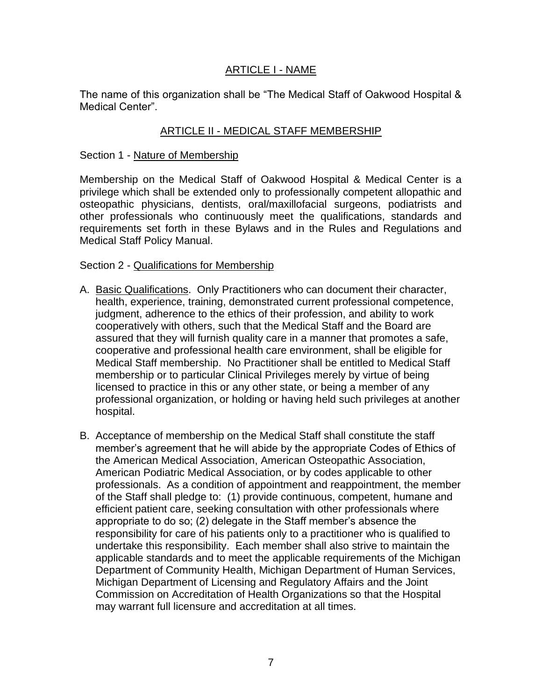# ARTICLE I - NAME

The name of this organization shall be "The Medical Staff of Oakwood Hospital & Medical Center".

## ARTICLE II - MEDICAL STAFF MEMBERSHIP

#### Section 1 - Nature of Membership

Membership on the Medical Staff of Oakwood Hospital & Medical Center is a privilege which shall be extended only to professionally competent allopathic and osteopathic physicians, dentists, oral/maxillofacial surgeons, podiatrists and other professionals who continuously meet the qualifications, standards and requirements set forth in these Bylaws and in the Rules and Regulations and Medical Staff Policy Manual.

#### Section 2 - Qualifications for Membership

- A. Basic Qualifications. Only Practitioners who can document their character, health, experience, training, demonstrated current professional competence, judgment, adherence to the ethics of their profession, and ability to work cooperatively with others, such that the Medical Staff and the Board are assured that they will furnish quality care in a manner that promotes a safe, cooperative and professional health care environment, shall be eligible for Medical Staff membership. No Practitioner shall be entitled to Medical Staff membership or to particular Clinical Privileges merely by virtue of being licensed to practice in this or any other state, or being a member of any professional organization, or holding or having held such privileges at another hospital.
- B. Acceptance of membership on the Medical Staff shall constitute the staff member's agreement that he will abide by the appropriate Codes of Ethics of the American Medical Association, American Osteopathic Association, American Podiatric Medical Association, or by codes applicable to other professionals. As a condition of appointment and reappointment, the member of the Staff shall pledge to: (1) provide continuous, competent, humane and efficient patient care, seeking consultation with other professionals where appropriate to do so; (2) delegate in the Staff member's absence the responsibility for care of his patients only to a practitioner who is qualified to undertake this responsibility. Each member shall also strive to maintain the applicable standards and to meet the applicable requirements of the Michigan Department of Community Health, Michigan Department of Human Services, Michigan Department of Licensing and Regulatory Affairs and the Joint Commission on Accreditation of Health Organizations so that the Hospital may warrant full licensure and accreditation at all times.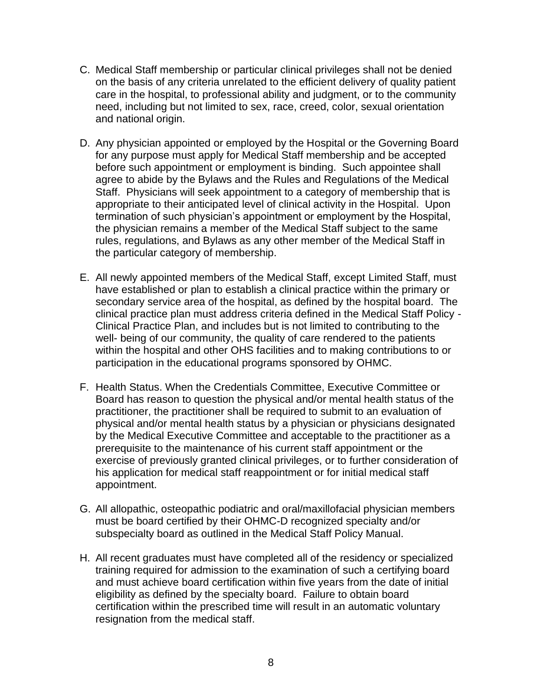- C. Medical Staff membership or particular clinical privileges shall not be denied on the basis of any criteria unrelated to the efficient delivery of quality patient care in the hospital, to professional ability and judgment, or to the community need, including but not limited to sex, race, creed, color, sexual orientation and national origin.
- D. Any physician appointed or employed by the Hospital or the Governing Board for any purpose must apply for Medical Staff membership and be accepted before such appointment or employment is binding. Such appointee shall agree to abide by the Bylaws and the Rules and Regulations of the Medical Staff. Physicians will seek appointment to a category of membership that is appropriate to their anticipated level of clinical activity in the Hospital.Upon termination of such physician's appointment or employment by the Hospital, the physician remains a member of the Medical Staff subject to the same rules, regulations, and Bylaws as any other member of the Medical Staff in the particular category of membership.
- E. All newly appointed members of the Medical Staff, except Limited Staff, must have established or plan to establish a clinical practice within the primary or secondary service area of the hospital, as defined by the hospital board. The clinical practice plan must address criteria defined in the Medical Staff Policy - Clinical Practice Plan, and includes but is not limited to contributing to the well- being of our community, the quality of care rendered to the patients within the hospital and other OHS facilities and to making contributions to or participation in the educational programs sponsored by OHMC.
- F. Health Status. When the Credentials Committee, Executive Committee or Board has reason to question the physical and/or mental health status of the practitioner, the practitioner shall be required to submit to an evaluation of physical and/or mental health status by a physician or physicians designated by the Medical Executive Committee and acceptable to the practitioner as a prerequisite to the maintenance of his current staff appointment or the exercise of previously granted clinical privileges, or to further consideration of his application for medical staff reappointment or for initial medical staff appointment.
- G. All allopathic, osteopathic podiatric and oral/maxillofacial physician members must be board certified by their OHMC-D recognized specialty and/or subspecialty board as outlined in the Medical Staff Policy Manual.
- H. All recent graduates must have completed all of the residency or specialized training required for admission to the examination of such a certifying board and must achieve board certification within five years from the date of initial eligibility as defined by the specialty board. Failure to obtain board certification within the prescribed time will result in an automatic voluntary resignation from the medical staff.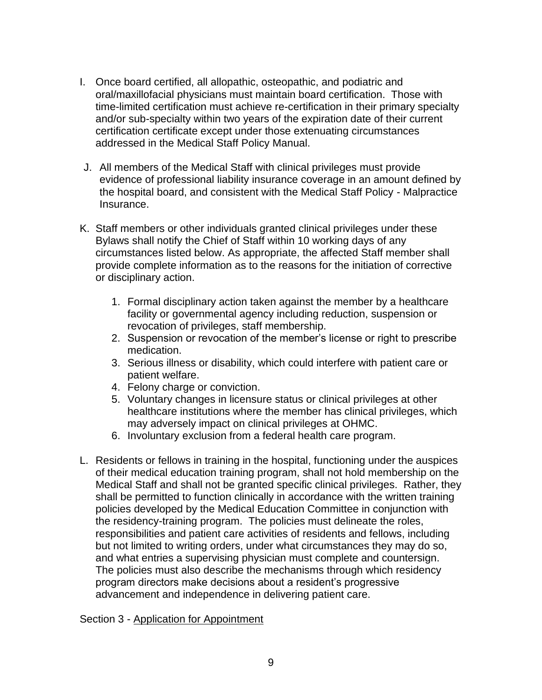- I. Once board certified, all allopathic, osteopathic, and podiatric and oral/maxillofacial physicians must maintain board certification. Those with time-limited certification must achieve re-certification in their primary specialty and/or sub-specialty within two years of the expiration date of their current certification certificate except under those extenuating circumstances addressed in the Medical Staff Policy Manual.
- J. All members of the Medical Staff with clinical privileges must provide evidence of professional liability insurance coverage in an amount defined by the hospital board, and consistent with the Medical Staff Policy - Malpractice Insurance.
- K. Staff members or other individuals granted clinical privileges under these Bylaws shall notify the Chief of Staff within 10 working days of any circumstances listed below. As appropriate, the affected Staff member shall provide complete information as to the reasons for the initiation of corrective or disciplinary action.
	- 1. Formal disciplinary action taken against the member by a healthcare facility or governmental agency including reduction, suspension or revocation of privileges, staff membership.
	- 2. Suspension or revocation of the member's license or right to prescribe medication.
	- 3. Serious illness or disability, which could interfere with patient care or patient welfare.
	- 4. Felony charge or conviction.
	- 5. Voluntary changes in licensure status or clinical privileges at other healthcare institutions where the member has clinical privileges, which may adversely impact on clinical privileges at OHMC.
	- 6. Involuntary exclusion from a federal health care program.
- L. Residents or fellows in training in the hospital, functioning under the auspices of their medical education training program, shall not hold membership on the Medical Staff and shall not be granted specific clinical privileges. Rather, they shall be permitted to function clinically in accordance with the written training policies developed by the Medical Education Committee in conjunction with the residency-training program. The policies must delineate the roles, responsibilities and patient care activities of residents and fellows, including but not limited to writing orders, under what circumstances they may do so, and what entries a supervising physician must complete and countersign. The policies must also describe the mechanisms through which residency program directors make decisions about a resident's progressive advancement and independence in delivering patient care.

Section 3 - Application for Appointment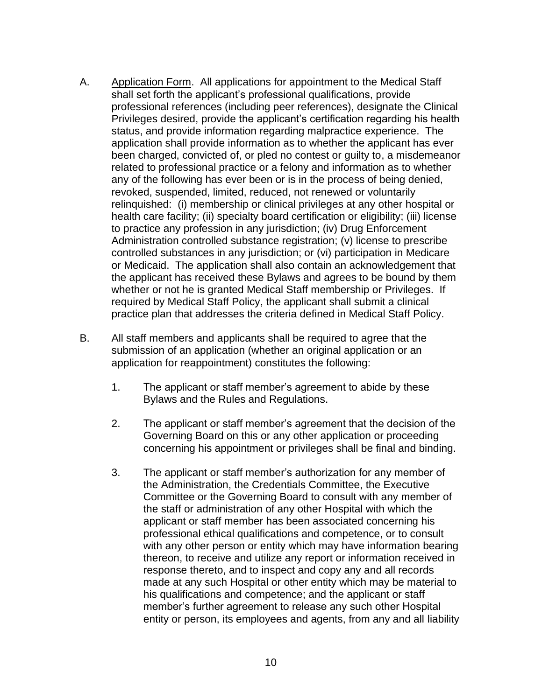- A. Application Form. All applications for appointment to the Medical Staff shall set forth the applicant's professional qualifications, provide professional references (including peer references), designate the Clinical Privileges desired, provide the applicant's certification regarding his health status, and provide information regarding malpractice experience. The application shall provide information as to whether the applicant has ever been charged, convicted of, or pled no contest or guilty to, a misdemeanor related to professional practice or a felony and information as to whether any of the following has ever been or is in the process of being denied, revoked, suspended, limited, reduced, not renewed or voluntarily relinquished: (i) membership or clinical privileges at any other hospital or health care facility; (ii) specialty board certification or eligibility; (iii) license to practice any profession in any jurisdiction; (iv) Drug Enforcement Administration controlled substance registration; (v) license to prescribe controlled substances in any jurisdiction; or (vi) participation in Medicare or Medicaid. The application shall also contain an acknowledgement that the applicant has received these Bylaws and agrees to be bound by them whether or not he is granted Medical Staff membership or Privileges. If required by Medical Staff Policy, the applicant shall submit a clinical practice plan that addresses the criteria defined in Medical Staff Policy.
- B. All staff members and applicants shall be required to agree that the submission of an application (whether an original application or an application for reappointment) constitutes the following:
	- 1. The applicant or staff member's agreement to abide by these Bylaws and the Rules and Regulations.
	- 2. The applicant or staff member's agreement that the decision of the Governing Board on this or any other application or proceeding concerning his appointment or privileges shall be final and binding.
	- 3. The applicant or staff member's authorization for any member of the Administration, the Credentials Committee, the Executive Committee or the Governing Board to consult with any member of the staff or administration of any other Hospital with which the applicant or staff member has been associated concerning his professional ethical qualifications and competence, or to consult with any other person or entity which may have information bearing thereon, to receive and utilize any report or information received in response thereto, and to inspect and copy any and all records made at any such Hospital or other entity which may be material to his qualifications and competence; and the applicant or staff member's further agreement to release any such other Hospital entity or person, its employees and agents, from any and all liability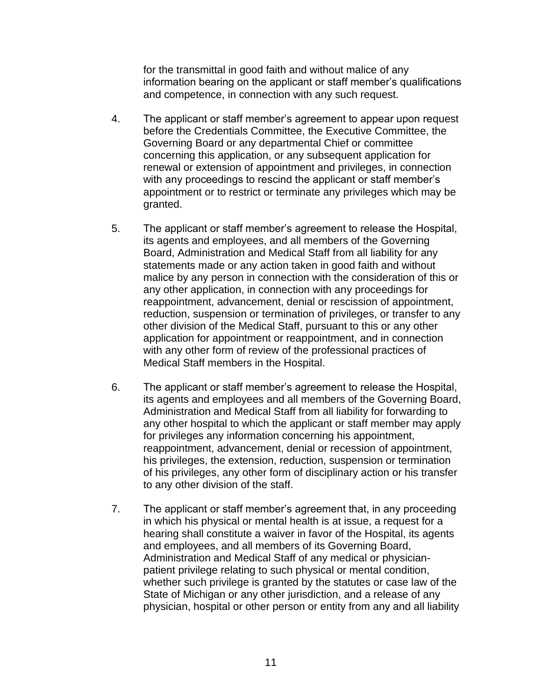for the transmittal in good faith and without malice of any information bearing on the applicant or staff member's qualifications and competence, in connection with any such request.

- 4. The applicant or staff member's agreement to appear upon request before the Credentials Committee, the Executive Committee, the Governing Board or any departmental Chief or committee concerning this application, or any subsequent application for renewal or extension of appointment and privileges, in connection with any proceedings to rescind the applicant or staff member's appointment or to restrict or terminate any privileges which may be granted.
- 5. The applicant or staff member's agreement to release the Hospital, its agents and employees, and all members of the Governing Board, Administration and Medical Staff from all liability for any statements made or any action taken in good faith and without malice by any person in connection with the consideration of this or any other application, in connection with any proceedings for reappointment, advancement, denial or rescission of appointment, reduction, suspension or termination of privileges, or transfer to any other division of the Medical Staff, pursuant to this or any other application for appointment or reappointment, and in connection with any other form of review of the professional practices of Medical Staff members in the Hospital.
- 6. The applicant or staff member's agreement to release the Hospital, its agents and employees and all members of the Governing Board, Administration and Medical Staff from all liability for forwarding to any other hospital to which the applicant or staff member may apply for privileges any information concerning his appointment, reappointment, advancement, denial or recession of appointment, his privileges, the extension, reduction, suspension or termination of his privileges, any other form of disciplinary action or his transfer to any other division of the staff.
- 7. The applicant or staff member's agreement that, in any proceeding in which his physical or mental health is at issue, a request for a hearing shall constitute a waiver in favor of the Hospital, its agents and employees, and all members of its Governing Board, Administration and Medical Staff of any medical or physicianpatient privilege relating to such physical or mental condition, whether such privilege is granted by the statutes or case law of the State of Michigan or any other jurisdiction, and a release of any physician, hospital or other person or entity from any and all liability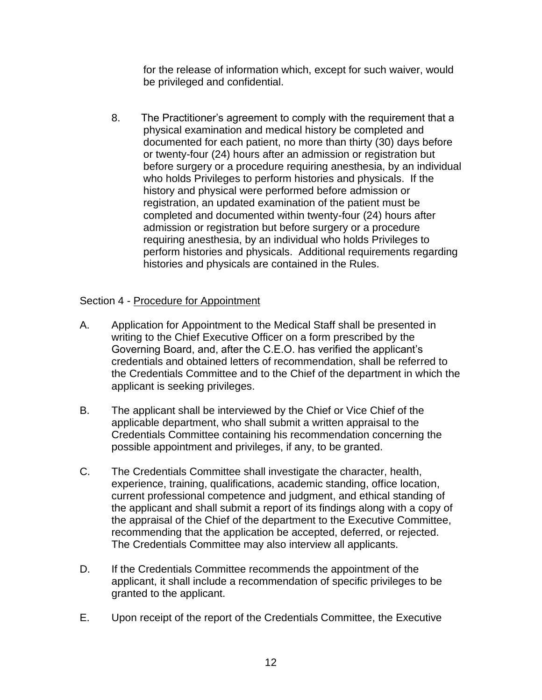for the release of information which, except for such waiver, would be privileged and confidential.

8. The Practitioner's agreement to comply with the requirement that a physical examination and medical history be completed and documented for each patient, no more than thirty (30) days before or twenty-four (24) hours after an admission or registration but before surgery or a procedure requiring anesthesia, by an individual who holds Privileges to perform histories and physicals. If the history and physical were performed before admission or registration, an updated examination of the patient must be completed and documented within twenty-four (24) hours after admission or registration but before surgery or a procedure requiring anesthesia, by an individual who holds Privileges to perform histories and physicals. Additional requirements regarding histories and physicals are contained in the Rules.

# Section 4 - Procedure for Appointment

- A. Application for Appointment to the Medical Staff shall be presented in writing to the Chief Executive Officer on a form prescribed by the Governing Board, and, after the C.E.O. has verified the applicant's credentials and obtained letters of recommendation, shall be referred to the Credentials Committee and to the Chief of the department in which the applicant is seeking privileges.
- B. The applicant shall be interviewed by the Chief or Vice Chief of the applicable department, who shall submit a written appraisal to the Credentials Committee containing his recommendation concerning the possible appointment and privileges, if any, to be granted.
- C. The Credentials Committee shall investigate the character, health, experience, training, qualifications, academic standing, office location, current professional competence and judgment, and ethical standing of the applicant and shall submit a report of its findings along with a copy of the appraisal of the Chief of the department to the Executive Committee, recommending that the application be accepted, deferred, or rejected. The Credentials Committee may also interview all applicants.
- D. If the Credentials Committee recommends the appointment of the applicant, it shall include a recommendation of specific privileges to be granted to the applicant.
- E. Upon receipt of the report of the Credentials Committee, the Executive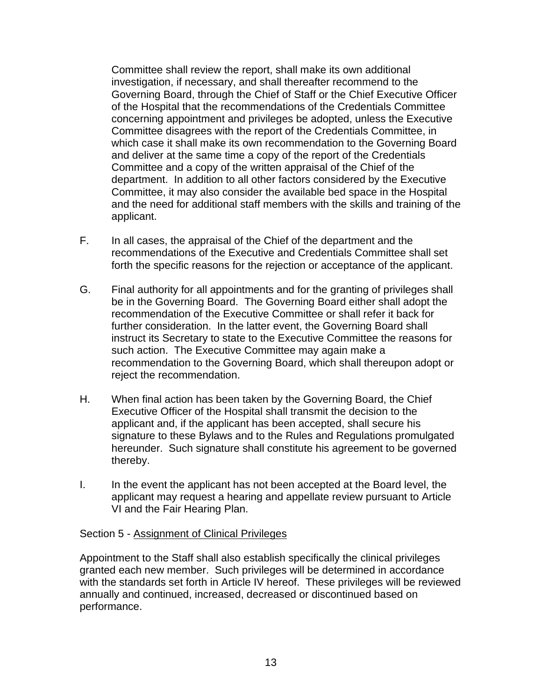Committee shall review the report, shall make its own additional investigation, if necessary, and shall thereafter recommend to the Governing Board, through the Chief of Staff or the Chief Executive Officer of the Hospital that the recommendations of the Credentials Committee concerning appointment and privileges be adopted, unless the Executive Committee disagrees with the report of the Credentials Committee, in which case it shall make its own recommendation to the Governing Board and deliver at the same time a copy of the report of the Credentials Committee and a copy of the written appraisal of the Chief of the department. In addition to all other factors considered by the Executive Committee, it may also consider the available bed space in the Hospital and the need for additional staff members with the skills and training of the applicant.

- F. In all cases, the appraisal of the Chief of the department and the recommendations of the Executive and Credentials Committee shall set forth the specific reasons for the rejection or acceptance of the applicant.
- G. Final authority for all appointments and for the granting of privileges shall be in the Governing Board. The Governing Board either shall adopt the recommendation of the Executive Committee or shall refer it back for further consideration. In the latter event, the Governing Board shall instruct its Secretary to state to the Executive Committee the reasons for such action. The Executive Committee may again make a recommendation to the Governing Board, which shall thereupon adopt or reject the recommendation.
- H. When final action has been taken by the Governing Board, the Chief Executive Officer of the Hospital shall transmit the decision to the applicant and, if the applicant has been accepted, shall secure his signature to these Bylaws and to the Rules and Regulations promulgated hereunder. Such signature shall constitute his agreement to be governed thereby.
- I. In the event the applicant has not been accepted at the Board level, the applicant may request a hearing and appellate review pursuant to Article VI and the Fair Hearing Plan.

### Section 5 - Assignment of Clinical Privileges

Appointment to the Staff shall also establish specifically the clinical privileges granted each new member. Such privileges will be determined in accordance with the standards set forth in Article IV hereof. These privileges will be reviewed annually and continued, increased, decreased or discontinued based on performance.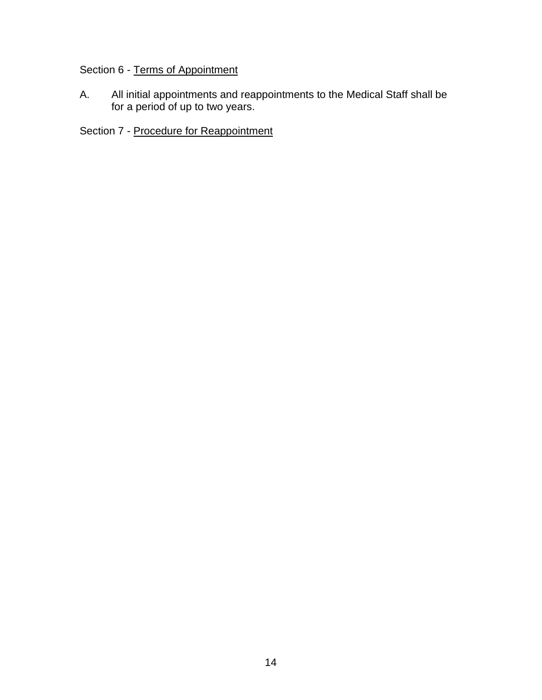# Section 6 - Terms of Appointment

A. All initial appointments and reappointments to the Medical Staff shall be for a period of up to two years.

Section 7 - Procedure for Reappointment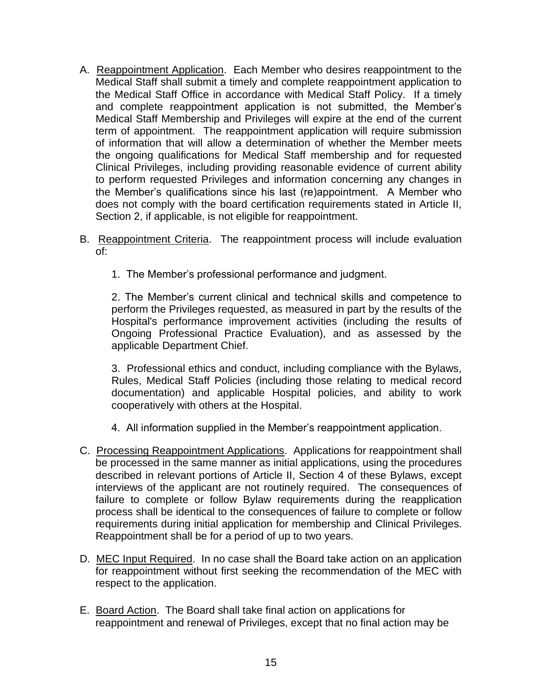- A. Reappointment Application. Each Member who desires reappointment to the Medical Staff shall submit a timely and complete reappointment application to the Medical Staff Office in accordance with Medical Staff Policy. If a timely and complete reappointment application is not submitted, the Member's Medical Staff Membership and Privileges will expire at the end of the current term of appointment. The reappointment application will require submission of information that will allow a determination of whether the Member meets the ongoing qualifications for Medical Staff membership and for requested Clinical Privileges, including providing reasonable evidence of current ability to perform requested Privileges and information concerning any changes in the Member's qualifications since his last (re)appointment. A Member who does not comply with the board certification requirements stated in Article II, Section 2, if applicable, is not eligible for reappointment.
- B. Reappointment Criteria. The reappointment process will include evaluation of:
	- 1. The Member's professional performance and judgment.

2. The Member's current clinical and technical skills and competence to perform the Privileges requested, as measured in part by the results of the Hospital's performance improvement activities (including the results of Ongoing Professional Practice Evaluation), and as assessed by the applicable Department Chief.

3. Professional ethics and conduct, including compliance with the Bylaws, Rules, Medical Staff Policies (including those relating to medical record documentation) and applicable Hospital policies, and ability to work cooperatively with others at the Hospital.

- 4. All information supplied in the Member's reappointment application.
- C. Processing Reappointment Applications. Applications for reappointment shall be processed in the same manner as initial applications, using the procedures described in relevant portions of Article II, Section 4 of these Bylaws, except interviews of the applicant are not routinely required. The consequences of failure to complete or follow Bylaw requirements during the reapplication process shall be identical to the consequences of failure to complete or follow requirements during initial application for membership and Clinical Privileges. Reappointment shall be for a period of up to two years.
- D. MEC Input Required. In no case shall the Board take action on an application for reappointment without first seeking the recommendation of the MEC with respect to the application.
- E. Board Action. The Board shall take final action on applications for reappointment and renewal of Privileges, except that no final action may be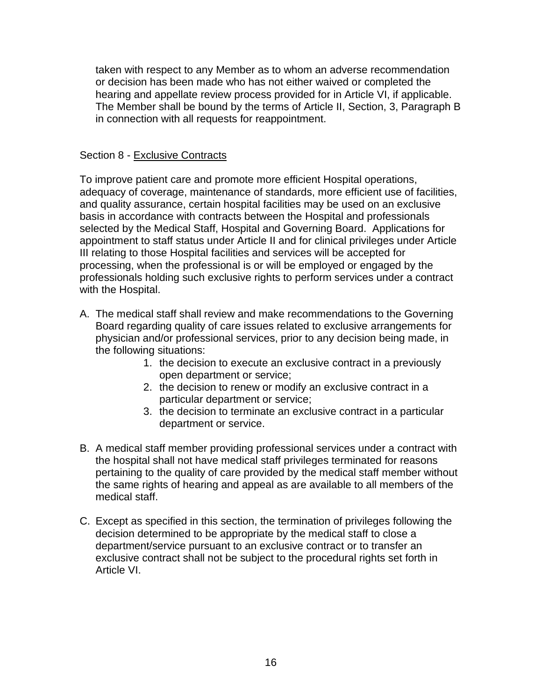taken with respect to any Member as to whom an adverse recommendation or decision has been made who has not either waived or completed the hearing and appellate review process provided for in Article VI, if applicable. The Member shall be bound by the terms of Article II, Section, 3, Paragraph B in connection with all requests for reappointment.

## Section 8 - Exclusive Contracts

To improve patient care and promote more efficient Hospital operations, adequacy of coverage, maintenance of standards, more efficient use of facilities, and quality assurance, certain hospital facilities may be used on an exclusive basis in accordance with contracts between the Hospital and professionals selected by the Medical Staff, Hospital and Governing Board. Applications for appointment to staff status under Article II and for clinical privileges under Article III relating to those Hospital facilities and services will be accepted for processing, when the professional is or will be employed or engaged by the professionals holding such exclusive rights to perform services under a contract with the Hospital.

- A. The medical staff shall review and make recommendations to the Governing Board regarding quality of care issues related to exclusive arrangements for physician and/or professional services, prior to any decision being made, in the following situations:
	- 1. the decision to execute an exclusive contract in a previously open department or service;
	- 2. the decision to renew or modify an exclusive contract in a particular department or service;
	- 3. the decision to terminate an exclusive contract in a particular department or service.
- B. A medical staff member providing professional services under a contract with the hospital shall not have medical staff privileges terminated for reasons pertaining to the quality of care provided by the medical staff member without the same rights of hearing and appeal as are available to all members of the medical staff.
- C. Except as specified in this section, the termination of privileges following the decision determined to be appropriate by the medical staff to close a department/service pursuant to an exclusive contract or to transfer an exclusive contract shall not be subject to the procedural rights set forth in Article VI.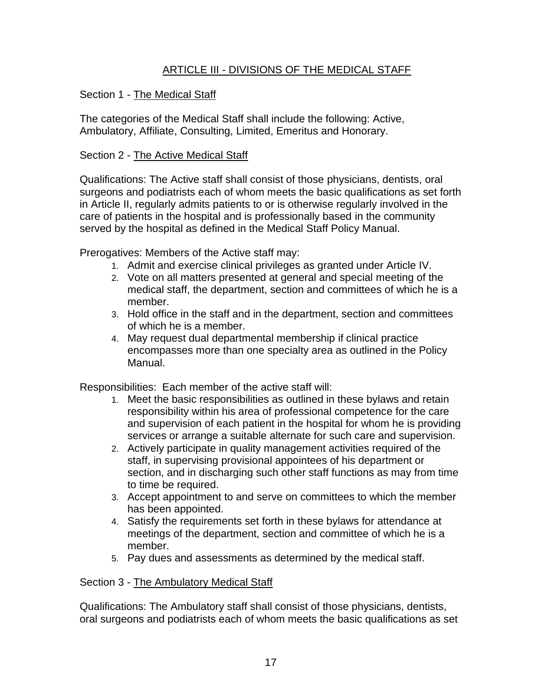# ARTICLE III - DIVISIONS OF THE MEDICAL STAFF

# Section 1 - The Medical Staff

The categories of the Medical Staff shall include the following: Active, Ambulatory, Affiliate, Consulting, Limited, Emeritus and Honorary.

### Section 2 - The Active Medical Staff

Qualifications: The Active staff shall consist of those physicians, dentists, oral surgeons and podiatrists each of whom meets the basic qualifications as set forth in Article II, regularly admits patients to or is otherwise regularly involved in the care of patients in the hospital and is professionally based in the community served by the hospital as defined in the Medical Staff Policy Manual.

Prerogatives: Members of the Active staff may:

- 1. Admit and exercise clinical privileges as granted under Article IV.
- 2. Vote on all matters presented at general and special meeting of the medical staff, the department, section and committees of which he is a member.
- 3. Hold office in the staff and in the department, section and committees of which he is a member.
- 4. May request dual departmental membership if clinical practice encompasses more than one specialty area as outlined in the Policy Manual.

Responsibilities: Each member of the active staff will:

- 1. Meet the basic responsibilities as outlined in these bylaws and retain responsibility within his area of professional competence for the care and supervision of each patient in the hospital for whom he is providing services or arrange a suitable alternate for such care and supervision.
- 2. Actively participate in quality management activities required of the staff, in supervising provisional appointees of his department or section, and in discharging such other staff functions as may from time to time be required.
- 3. Accept appointment to and serve on committees to which the member has been appointed.
- 4. Satisfy the requirements set forth in these bylaws for attendance at meetings of the department, section and committee of which he is a member.
- 5. Pay dues and assessments as determined by the medical staff.

### Section 3 - The Ambulatory Medical Staff

Qualifications: The Ambulatory staff shall consist of those physicians, dentists, oral surgeons and podiatrists each of whom meets the basic qualifications as set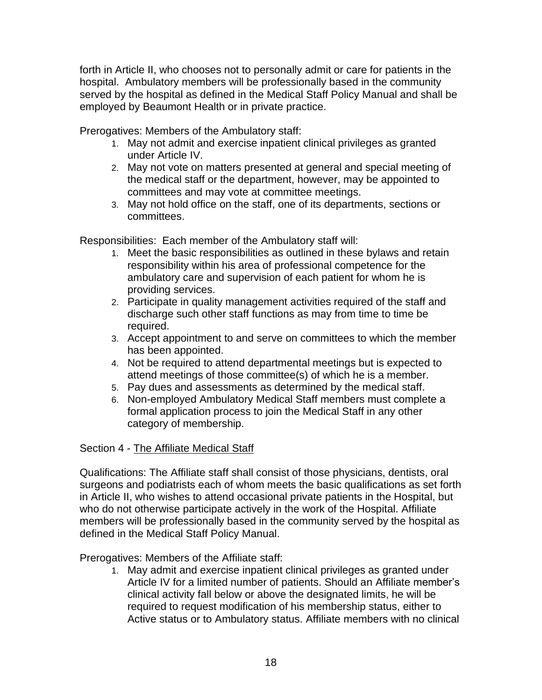forth in Article II, who chooses not to personally admit or care for patients in the hospital. Ambulatory members will be professionally based in the community served by the hospital as defined in the Medical Staff Policy Manual and shall be employed by Beaumont Health or in private practice.

Prerogatives: Members of the Ambulatory staff:

- 1. May not admit and exercise inpatient clinical privileges as granted under Article IV.
- 2. May not vote on matters presented at general and special meeting of the medical staff or the department, however, may be appointed to committees and may vote at committee meetings.
- 3. May not hold office on the staff, one of its departments, sections or committees.

Responsibilities: Each member of the Ambulatory staff will:

- 1. Meet the basic responsibilities as outlined in these bylaws and retain responsibility within his area of professional competence for the ambulatory care and supervision of each patient for whom he is providing services.
- 2. Participate in quality management activities required of the staff and discharge such other staff functions as may from time to time be required.
- 3. Accept appointment to and serve on committees to which the member has been appointed.
- 4. Not be required to attend departmental meetings but is expected to attend meetings of those committee(s) of which he is a member.
- 5. Pay dues and assessments as determined by the medical staff.
- 6. Non-employed Ambulatory Medical Staff members must complete a formal application process to join the Medical Staff in any other category of membership.

# Section 4 - The Affiliate Medical Staff

Qualifications: The Affiliate staff shall consist of those physicians, dentists, oral surgeons and podiatrists each of whom meets the basic qualifications as set forth in Article II, who wishes to attend occasional private patients in the Hospital, but who do not otherwise participate actively in the work of the Hospital. Affiliate members will be professionally based in the community served by the hospital as defined in the Medical Staff Policy Manual.

Prerogatives: Members of the Affiliate staff:

1. May admit and exercise inpatient clinical privileges as granted under Article IV for a limited number of patients. Should an Affiliate member's clinical activity fall below or above the designated limits, he will be required to request modification of his membership status, either to Active status or to Ambulatory status. Affiliate members with no clinical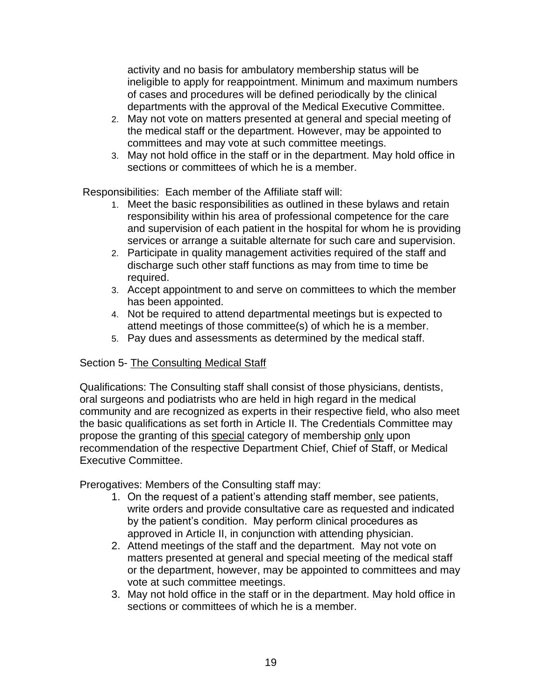activity and no basis for ambulatory membership status will be ineligible to apply for reappointment. Minimum and maximum numbers of cases and procedures will be defined periodically by the clinical departments with the approval of the Medical Executive Committee.

- 2. May not vote on matters presented at general and special meeting of the medical staff or the department. However, may be appointed to committees and may vote at such committee meetings.
- 3. May not hold office in the staff or in the department. May hold office in sections or committees of which he is a member.

Responsibilities: Each member of the Affiliate staff will:

- 1. Meet the basic responsibilities as outlined in these bylaws and retain responsibility within his area of professional competence for the care and supervision of each patient in the hospital for whom he is providing services or arrange a suitable alternate for such care and supervision.
- 2. Participate in quality management activities required of the staff and discharge such other staff functions as may from time to time be required.
- 3. Accept appointment to and serve on committees to which the member has been appointed.
- 4. Not be required to attend departmental meetings but is expected to attend meetings of those committee(s) of which he is a member.
- 5. Pay dues and assessments as determined by the medical staff.

# Section 5- The Consulting Medical Staff

Qualifications: The Consulting staff shall consist of those physicians, dentists, oral surgeons and podiatrists who are held in high regard in the medical community and are recognized as experts in their respective field, who also meet the basic qualifications as set forth in Article II. The Credentials Committee may propose the granting of this special category of membership only upon recommendation of the respective Department Chief, Chief of Staff, or Medical Executive Committee.

Prerogatives: Members of the Consulting staff may:

- 1. On the request of a patient's attending staff member, see patients, write orders and provide consultative care as requested and indicated by the patient's condition. May perform clinical procedures as approved in Article II, in conjunction with attending physician.
- 2. Attend meetings of the staff and the department. May not vote on matters presented at general and special meeting of the medical staff or the department, however, may be appointed to committees and may vote at such committee meetings.
- 3. May not hold office in the staff or in the department. May hold office in sections or committees of which he is a member.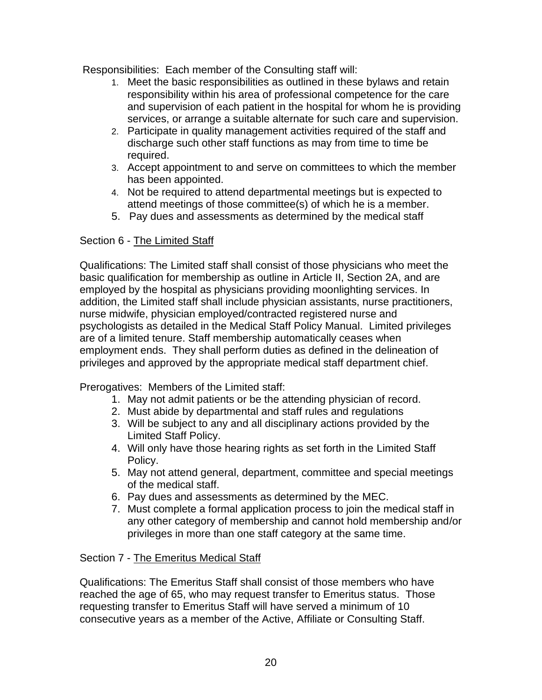Responsibilities: Each member of the Consulting staff will:

- 1. Meet the basic responsibilities as outlined in these bylaws and retain responsibility within his area of professional competence for the care and supervision of each patient in the hospital for whom he is providing services, or arrange a suitable alternate for such care and supervision.
- 2. Participate in quality management activities required of the staff and discharge such other staff functions as may from time to time be required.
- 3. Accept appointment to and serve on committees to which the member has been appointed.
- 4. Not be required to attend departmental meetings but is expected to attend meetings of those committee(s) of which he is a member.
- 5. Pay dues and assessments as determined by the medical staff

# Section 6 - The Limited Staff

Qualifications: The Limited staff shall consist of those physicians who meet the basic qualification for membership as outline in Article II, Section 2A, and are employed by the hospital as physicians providing moonlighting services. In addition, the Limited staff shall include physician assistants, nurse practitioners, nurse midwife, physician employed/contracted registered nurse and psychologists as detailed in the Medical Staff Policy Manual. Limited privileges are of a limited tenure. Staff membership automatically ceases when employment ends. They shall perform duties as defined in the delineation of privileges and approved by the appropriate medical staff department chief.

Prerogatives: Members of the Limited staff:

- 1. May not admit patients or be the attending physician of record.
- 2. Must abide by departmental and staff rules and regulations
- 3. Will be subject to any and all disciplinary actions provided by the Limited Staff Policy.
- 4. Will only have those hearing rights as set forth in the Limited Staff Policy.
- 5. May not attend general, department, committee and special meetings of the medical staff.
- 6. Pay dues and assessments as determined by the MEC.
- 7. Must complete a formal application process to join the medical staff in any other category of membership and cannot hold membership and/or privileges in more than one staff category at the same time.

# Section 7 - The Emeritus Medical Staff

Qualifications: The Emeritus Staff shall consist of those members who have reached the age of 65, who may request transfer to Emeritus status. Those requesting transfer to Emeritus Staff will have served a minimum of 10 consecutive years as a member of the Active, Affiliate or Consulting Staff.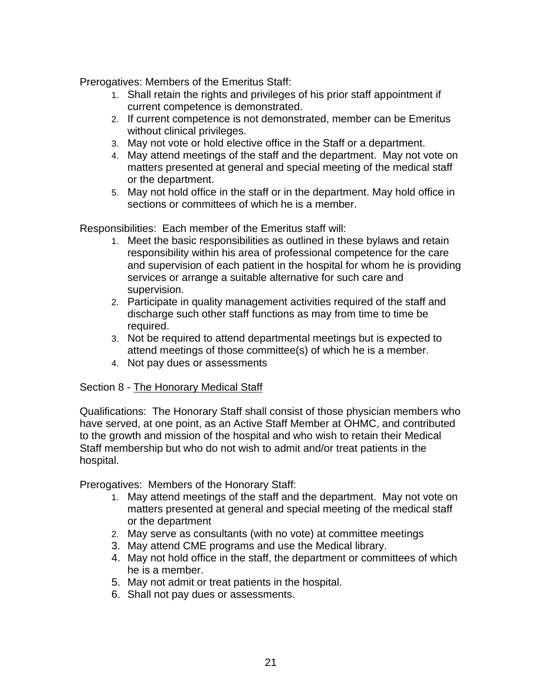Prerogatives: Members of the Emeritus Staff:

- 1. Shall retain the rights and privileges of his prior staff appointment if current competence is demonstrated.
- 2. If current competence is not demonstrated, member can be Emeritus without clinical privileges.
- 3. May not vote or hold elective office in the Staff or a department.
- 4. May attend meetings of the staff and the department. May not vote on matters presented at general and special meeting of the medical staff or the department.
- 5. May not hold office in the staff or in the department. May hold office in sections or committees of which he is a member.

Responsibilities: Each member of the Emeritus staff will:

- 1. Meet the basic responsibilities as outlined in these bylaws and retain responsibility within his area of professional competence for the care and supervision of each patient in the hospital for whom he is providing services or arrange a suitable alternative for such care and supervision.
- 2. Participate in quality management activities required of the staff and discharge such other staff functions as may from time to time be required.
- 3. Not be required to attend departmental meetings but is expected to attend meetings of those committee(s) of which he is a member.
- 4. Not pay dues or assessments

### Section 8 - The Honorary Medical Staff

Qualifications: The Honorary Staff shall consist of those physician members who have served, at one point, as an Active Staff Member at OHMC, and contributed to the growth and mission of the hospital and who wish to retain their Medical Staff membership but who do not wish to admit and/or treat patients in the hospital.

Prerogatives: Members of the Honorary Staff:

- 1. May attend meetings of the staff and the department. May not vote on matters presented at general and special meeting of the medical staff or the department
- 2. May serve as consultants (with no vote) at committee meetings
- 3. May attend CME programs and use the Medical library.
- 4. May not hold office in the staff, the department or committees of which he is a member.
- 5. May not admit or treat patients in the hospital.
- 6. Shall not pay dues or assessments.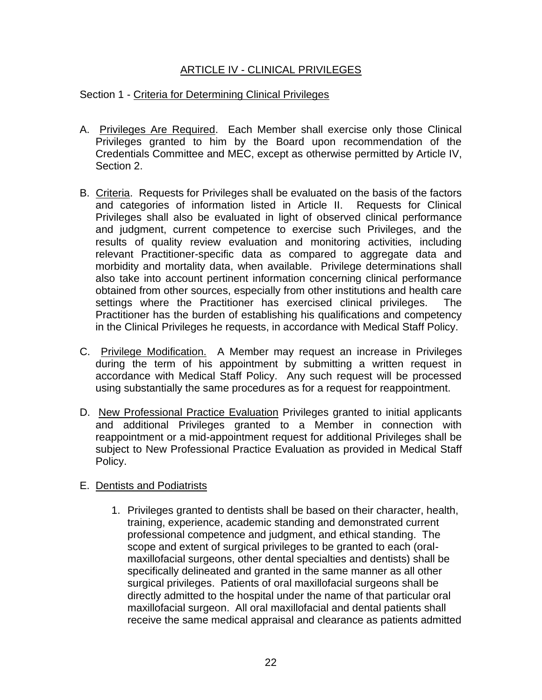# ARTICLE IV - CLINICAL PRIVILEGES

### Section 1 - Criteria for Determining Clinical Privileges

- A. Privileges Are Required. Each Member shall exercise only those Clinical Privileges granted to him by the Board upon recommendation of the Credentials Committee and MEC, except as otherwise permitted by Article IV, Section 2.
- B. Criteria. Requests for Privileges shall be evaluated on the basis of the factors and categories of information listed in Article II. Requests for Clinical Privileges shall also be evaluated in light of observed clinical performance and judgment, current competence to exercise such Privileges, and the results of quality review evaluation and monitoring activities, including relevant Practitioner-specific data as compared to aggregate data and morbidity and mortality data, when available. Privilege determinations shall also take into account pertinent information concerning clinical performance obtained from other sources, especially from other institutions and health care settings where the Practitioner has exercised clinical privileges. The Practitioner has the burden of establishing his qualifications and competency in the Clinical Privileges he requests, in accordance with Medical Staff Policy.
- C. Privilege Modification. A Member may request an increase in Privileges during the term of his appointment by submitting a written request in accordance with Medical Staff Policy. Any such request will be processed using substantially the same procedures as for a request for reappointment.
- D. New Professional Practice Evaluation Privileges granted to initial applicants and additional Privileges granted to a Member in connection with reappointment or a mid-appointment request for additional Privileges shall be subject to New Professional Practice Evaluation as provided in Medical Staff Policy.

### E. Dentists and Podiatrists

1. Privileges granted to dentists shall be based on their character, health, training, experience, academic standing and demonstrated current professional competence and judgment, and ethical standing. The scope and extent of surgical privileges to be granted to each (oralmaxillofacial surgeons, other dental specialties and dentists) shall be specifically delineated and granted in the same manner as all other surgical privileges. Patients of oral maxillofacial surgeons shall be directly admitted to the hospital under the name of that particular oral maxillofacial surgeon. All oral maxillofacial and dental patients shall receive the same medical appraisal and clearance as patients admitted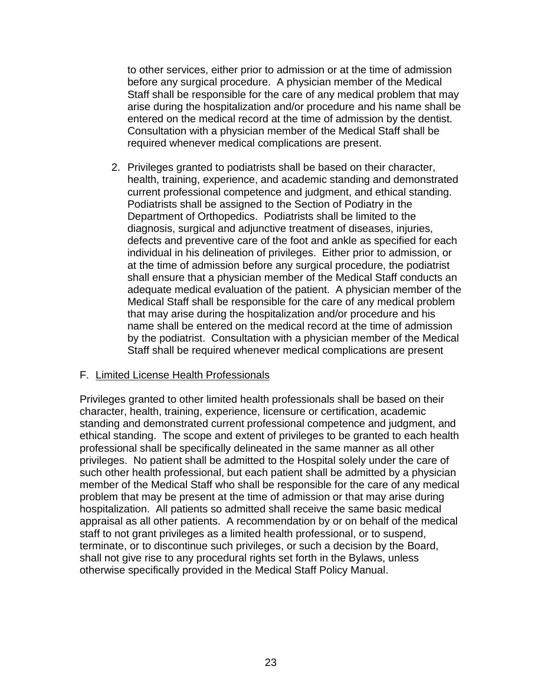to other services, either prior to admission or at the time of admission before any surgical procedure. A physician member of the Medical Staff shall be responsible for the care of any medical problem that may arise during the hospitalization and/or procedure and his name shall be entered on the medical record at the time of admission by the dentist. Consultation with a physician member of the Medical Staff shall be required whenever medical complications are present.

2. Privileges granted to podiatrists shall be based on their character, health, training, experience, and academic standing and demonstrated current professional competence and judgment, and ethical standing. Podiatrists shall be assigned to the Section of Podiatry in the Department of Orthopedics. Podiatrists shall be limited to the diagnosis, surgical and adjunctive treatment of diseases, injuries, defects and preventive care of the foot and ankle as specified for each individual in his delineation of privileges. Either prior to admission, or at the time of admission before any surgical procedure, the podiatrist shall ensure that a physician member of the Medical Staff conducts an adequate medical evaluation of the patient. A physician member of the Medical Staff shall be responsible for the care of any medical problem that may arise during the hospitalization and/or procedure and his name shall be entered on the medical record at the time of admission by the podiatrist. Consultation with a physician member of the Medical Staff shall be required whenever medical complications are present

### F. Limited License Health Professionals

Privileges granted to other limited health professionals shall be based on their character, health, training, experience, licensure or certification, academic standing and demonstrated current professional competence and judgment, and ethical standing. The scope and extent of privileges to be granted to each health professional shall be specifically delineated in the same manner as all other privileges. No patient shall be admitted to the Hospital solely under the care of such other health professional, but each patient shall be admitted by a physician member of the Medical Staff who shall be responsible for the care of any medical problem that may be present at the time of admission or that may arise during hospitalization. All patients so admitted shall receive the same basic medical appraisal as all other patients. A recommendation by or on behalf of the medical staff to not grant privileges as a limited health professional, or to suspend, terminate, or to discontinue such privileges, or such a decision by the Board, shall not give rise to any procedural rights set forth in the Bylaws, unless otherwise specifically provided in the Medical Staff Policy Manual.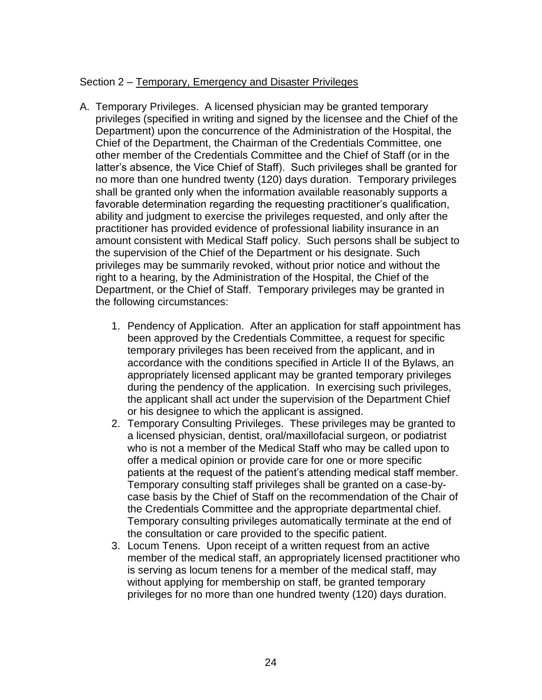# Section 2 – Temporary, Emergency and Disaster Privileges

- A. Temporary Privileges. A licensed physician may be granted temporary privileges (specified in writing and signed by the licensee and the Chief of the Department) upon the concurrence of the Administration of the Hospital, the Chief of the Department, the Chairman of the Credentials Committee, one other member of the Credentials Committee and the Chief of Staff (or in the latter's absence, the Vice Chief of Staff). Such privileges shall be granted for no more than one hundred twenty (120) days duration. Temporary privileges shall be granted only when the information available reasonably supports a favorable determination regarding the requesting practitioner's qualification, ability and judgment to exercise the privileges requested, and only after the practitioner has provided evidence of professional liability insurance in an amount consistent with Medical Staff policy. Such persons shall be subject to the supervision of the Chief of the Department or his designate. Such privileges may be summarily revoked, without prior notice and without the right to a hearing, by the Administration of the Hospital, the Chief of the Department, or the Chief of Staff. Temporary privileges may be granted in the following circumstances:
	- 1. Pendency of Application. After an application for staff appointment has been approved by the Credentials Committee, a request for specific temporary privileges has been received from the applicant, and in accordance with the conditions specified in Article II of the Bylaws, an appropriately licensed applicant may be granted temporary privileges during the pendency of the application. In exercising such privileges, the applicant shall act under the supervision of the Department Chief or his designee to which the applicant is assigned.
	- 2. Temporary Consulting Privileges. These privileges may be granted to a licensed physician, dentist, oral/maxillofacial surgeon, or podiatrist who is not a member of the Medical Staff who may be called upon to offer a medical opinion or provide care for one or more specific patients at the request of the patient's attending medical staff member. Temporary consulting staff privileges shall be granted on a case-bycase basis by the Chief of Staff on the recommendation of the Chair of the Credentials Committee and the appropriate departmental chief. Temporary consulting privileges automatically terminate at the end of the consultation or care provided to the specific patient.
	- 3. Locum Tenens. Upon receipt of a written request from an active member of the medical staff, an appropriately licensed practitioner who is serving as locum tenens for a member of the medical staff, may without applying for membership on staff, be granted temporary privileges for no more than one hundred twenty (120) days duration.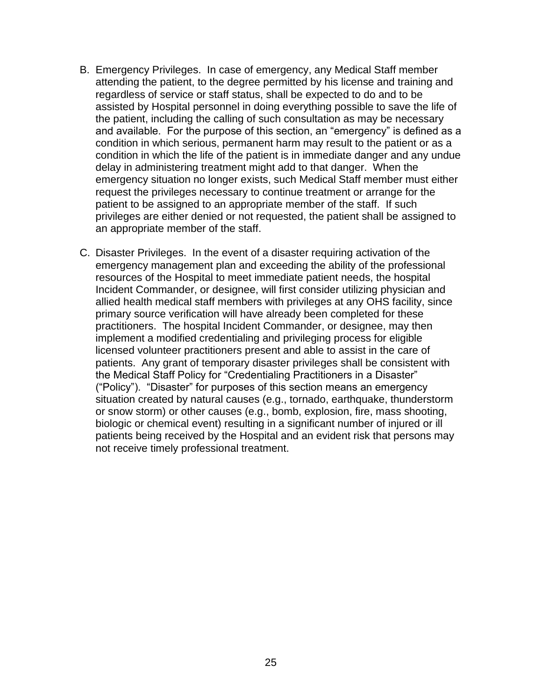- B. Emergency Privileges. In case of emergency, any Medical Staff member attending the patient, to the degree permitted by his license and training and regardless of service or staff status, shall be expected to do and to be assisted by Hospital personnel in doing everything possible to save the life of the patient, including the calling of such consultation as may be necessary and available. For the purpose of this section, an "emergency" is defined as a condition in which serious, permanent harm may result to the patient or as a condition in which the life of the patient is in immediate danger and any undue delay in administering treatment might add to that danger. When the emergency situation no longer exists, such Medical Staff member must either request the privileges necessary to continue treatment or arrange for the patient to be assigned to an appropriate member of the staff. If such privileges are either denied or not requested, the patient shall be assigned to an appropriate member of the staff.
- C. Disaster Privileges. In the event of a disaster requiring activation of the emergency management plan and exceeding the ability of the professional resources of the Hospital to meet immediate patient needs, the hospital Incident Commander, or designee, will first consider utilizing physician and allied health medical staff members with privileges at any OHS facility, since primary source verification will have already been completed for these practitioners. The hospital Incident Commander, or designee, may then implement a modified credentialing and privileging process for eligible licensed volunteer practitioners present and able to assist in the care of patients. Any grant of temporary disaster privileges shall be consistent with the Medical Staff Policy for "Credentialing Practitioners in a Disaster" ("Policy"). "Disaster" for purposes of this section means an emergency situation created by natural causes (e.g., tornado, earthquake, thunderstorm or snow storm) or other causes (e.g., bomb, explosion, fire, mass shooting, biologic or chemical event) resulting in a significant number of injured or ill patients being received by the Hospital and an evident risk that persons may not receive timely professional treatment.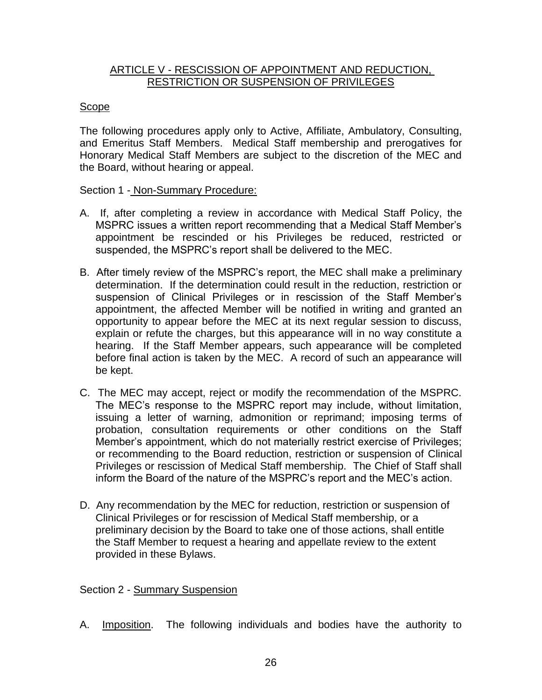#### ARTICLE V - RESCISSION OF APPOINTMENT AND REDUCTION, RESTRICTION OR SUSPENSION OF PRIVILEGES

## Scope

The following procedures apply only to Active, Affiliate, Ambulatory, Consulting, and Emeritus Staff Members. Medical Staff membership and prerogatives for Honorary Medical Staff Members are subject to the discretion of the MEC and the Board, without hearing or appeal.

### Section 1 - Non-Summary Procedure:

- A. If, after completing a review in accordance with Medical Staff Policy, the MSPRC issues a written report recommending that a Medical Staff Member's appointment be rescinded or his Privileges be reduced, restricted or suspended, the MSPRC's report shall be delivered to the MEC.
- B. After timely review of the MSPRC's report, the MEC shall make a preliminary determination. If the determination could result in the reduction, restriction or suspension of Clinical Privileges or in rescission of the Staff Member's appointment, the affected Member will be notified in writing and granted an opportunity to appear before the MEC at its next regular session to discuss, explain or refute the charges, but this appearance will in no way constitute a hearing. If the Staff Member appears, such appearance will be completed before final action is taken by the MEC. A record of such an appearance will be kept.
- C. The MEC may accept, reject or modify the recommendation of the MSPRC. The MEC's response to the MSPRC report may include, without limitation, issuing a letter of warning, admonition or reprimand; imposing terms of probation, consultation requirements or other conditions on the Staff Member's appointment, which do not materially restrict exercise of Privileges; or recommending to the Board reduction, restriction or suspension of Clinical Privileges or rescission of Medical Staff membership. The Chief of Staff shall inform the Board of the nature of the MSPRC's report and the MEC's action.
- D. Any recommendation by the MEC for reduction, restriction or suspension of Clinical Privileges or for rescission of Medical Staff membership, or a preliminary decision by the Board to take one of those actions, shall entitle the Staff Member to request a hearing and appellate review to the extent provided in these Bylaws.

# Section 2 - Summary Suspension

A. Imposition. The following individuals and bodies have the authority to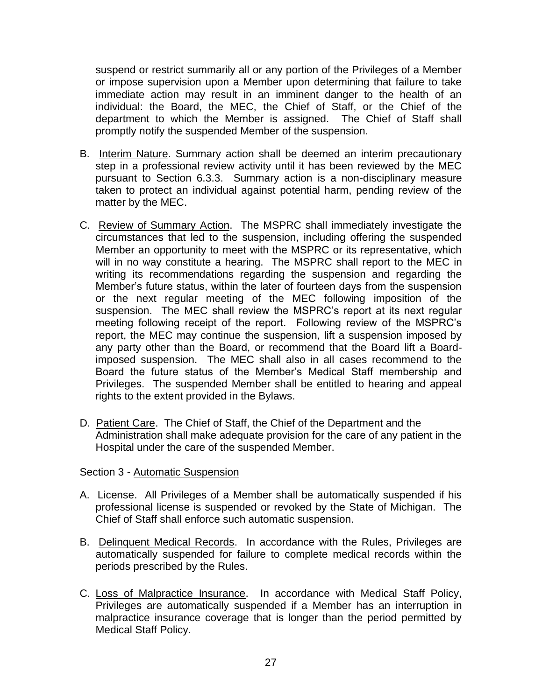suspend or restrict summarily all or any portion of the Privileges of a Member or impose supervision upon a Member upon determining that failure to take immediate action may result in an imminent danger to the health of an individual: the Board, the MEC, the Chief of Staff, or the Chief of the department to which the Member is assigned. The Chief of Staff shall promptly notify the suspended Member of the suspension.

- B. Interim Nature. Summary action shall be deemed an interim precautionary step in a professional review activity until it has been reviewed by the MEC pursuant to Section 6.3.3. Summary action is a non-disciplinary measure taken to protect an individual against potential harm, pending review of the matter by the MEC.
- C. Review of Summary Action. The MSPRC shall immediately investigate the circumstances that led to the suspension, including offering the suspended Member an opportunity to meet with the MSPRC or its representative, which will in no way constitute a hearing. The MSPRC shall report to the MEC in writing its recommendations regarding the suspension and regarding the Member's future status, within the later of fourteen days from the suspension or the next regular meeting of the MEC following imposition of the suspension. The MEC shall review the MSPRC's report at its next regular meeting following receipt of the report. Following review of the MSPRC's report, the MEC may continue the suspension, lift a suspension imposed by any party other than the Board, or recommend that the Board lift a Boardimposed suspension. The MEC shall also in all cases recommend to the Board the future status of the Member's Medical Staff membership and Privileges. The suspended Member shall be entitled to hearing and appeal rights to the extent provided in the Bylaws.
- D. Patient Care. The Chief of Staff, the Chief of the Department and the Administration shall make adequate provision for the care of any patient in the Hospital under the care of the suspended Member.

Section 3 - Automatic Suspension

- A. License. All Privileges of a Member shall be automatically suspended if his professional license is suspended or revoked by the State of Michigan. The Chief of Staff shall enforce such automatic suspension.
- B. Delinquent Medical Records. In accordance with the Rules, Privileges are automatically suspended for failure to complete medical records within the periods prescribed by the Rules.
- C. Loss of Malpractice Insurance. In accordance with Medical Staff Policy, Privileges are automatically suspended if a Member has an interruption in malpractice insurance coverage that is longer than the period permitted by Medical Staff Policy.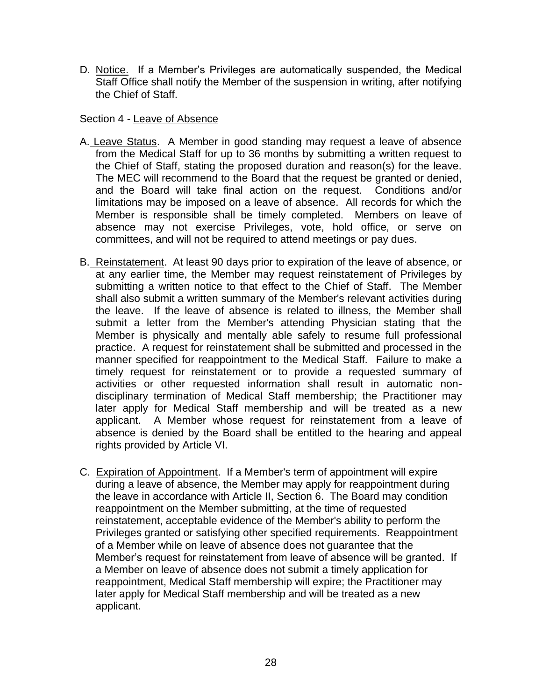D. Notice. If a Member's Privileges are automatically suspended, the Medical Staff Office shall notify the Member of the suspension in writing, after notifying the Chief of Staff.

Section 4 - Leave of Absence

- A. Leave Status. A Member in good standing may request a leave of absence from the Medical Staff for up to 36 months by submitting a written request to the Chief of Staff, stating the proposed duration and reason(s) for the leave. The MEC will recommend to the Board that the request be granted or denied, and the Board will take final action on the request. Conditions and/or limitations may be imposed on a leave of absence. All records for which the Member is responsible shall be timely completed. Members on leave of absence may not exercise Privileges, vote, hold office, or serve on committees, and will not be required to attend meetings or pay dues.
- B. Reinstatement. At least 90 days prior to expiration of the leave of absence, or at any earlier time, the Member may request reinstatement of Privileges by submitting a written notice to that effect to the Chief of Staff. The Member shall also submit a written summary of the Member's relevant activities during the leave. If the leave of absence is related to illness, the Member shall submit a letter from the Member's attending Physician stating that the Member is physically and mentally able safely to resume full professional practice. A request for reinstatement shall be submitted and processed in the manner specified for reappointment to the Medical Staff. Failure to make a timely request for reinstatement or to provide a requested summary of activities or other requested information shall result in automatic nondisciplinary termination of Medical Staff membership; the Practitioner may later apply for Medical Staff membership and will be treated as a new applicant. A Member whose request for reinstatement from a leave of absence is denied by the Board shall be entitled to the hearing and appeal rights provided by Article VI.
- C. Expiration of Appointment. If a Member's term of appointment will expire during a leave of absence, the Member may apply for reappointment during the leave in accordance with Article II, Section 6. The Board may condition reappointment on the Member submitting, at the time of requested reinstatement, acceptable evidence of the Member's ability to perform the Privileges granted or satisfying other specified requirements. Reappointment of a Member while on leave of absence does not guarantee that the Member's request for reinstatement from leave of absence will be granted. If a Member on leave of absence does not submit a timely application for reappointment, Medical Staff membership will expire; the Practitioner may later apply for Medical Staff membership and will be treated as a new applicant.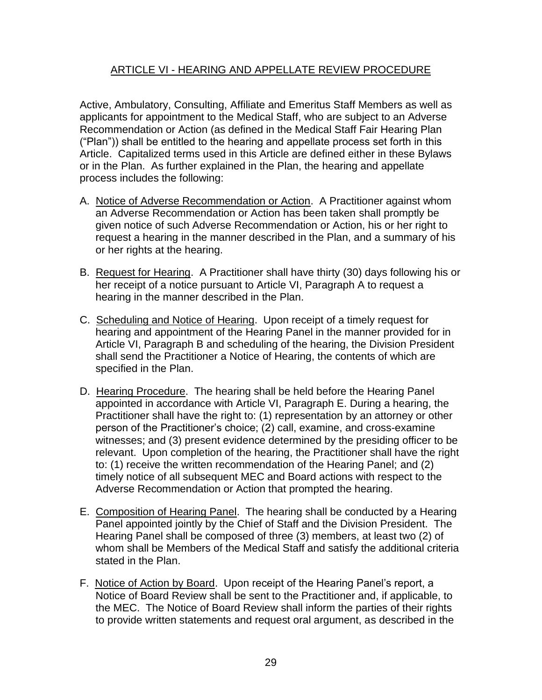# ARTICLE VI - HEARING AND APPELLATE REVIEW PROCEDURE

Active, Ambulatory, Consulting, Affiliate and Emeritus Staff Members as well as applicants for appointment to the Medical Staff, who are subject to an Adverse Recommendation or Action (as defined in the Medical Staff Fair Hearing Plan ("Plan")) shall be entitled to the hearing and appellate process set forth in this Article. Capitalized terms used in this Article are defined either in these Bylaws or in the Plan. As further explained in the Plan, the hearing and appellate process includes the following:

- A. Notice of Adverse Recommendation or Action. A Practitioner against whom an Adverse Recommendation or Action has been taken shall promptly be given notice of such Adverse Recommendation or Action, his or her right to request a hearing in the manner described in the Plan, and a summary of his or her rights at the hearing.
- B. Request for Hearing. A Practitioner shall have thirty (30) days following his or her receipt of a notice pursuant to Article VI, Paragraph A to request a hearing in the manner described in the Plan.
- C. Scheduling and Notice of Hearing. Upon receipt of a timely request for hearing and appointment of the Hearing Panel in the manner provided for in Article VI, Paragraph B and scheduling of the hearing, the Division President shall send the Practitioner a Notice of Hearing, the contents of which are specified in the Plan.
- D. Hearing Procedure. The hearing shall be held before the Hearing Panel appointed in accordance with Article VI, Paragraph E. During a hearing, the Practitioner shall have the right to: (1) representation by an attorney or other person of the Practitioner's choice; (2) call, examine, and cross-examine witnesses; and (3) present evidence determined by the presiding officer to be relevant. Upon completion of the hearing, the Practitioner shall have the right to: (1) receive the written recommendation of the Hearing Panel; and (2) timely notice of all subsequent MEC and Board actions with respect to the Adverse Recommendation or Action that prompted the hearing.
- E. Composition of Hearing Panel. The hearing shall be conducted by a Hearing Panel appointed jointly by the Chief of Staff and the Division President. The Hearing Panel shall be composed of three (3) members, at least two (2) of whom shall be Members of the Medical Staff and satisfy the additional criteria stated in the Plan.
- F. Notice of Action by Board. Upon receipt of the Hearing Panel's report, a Notice of Board Review shall be sent to the Practitioner and, if applicable, to the MEC. The Notice of Board Review shall inform the parties of their rights to provide written statements and request oral argument, as described in the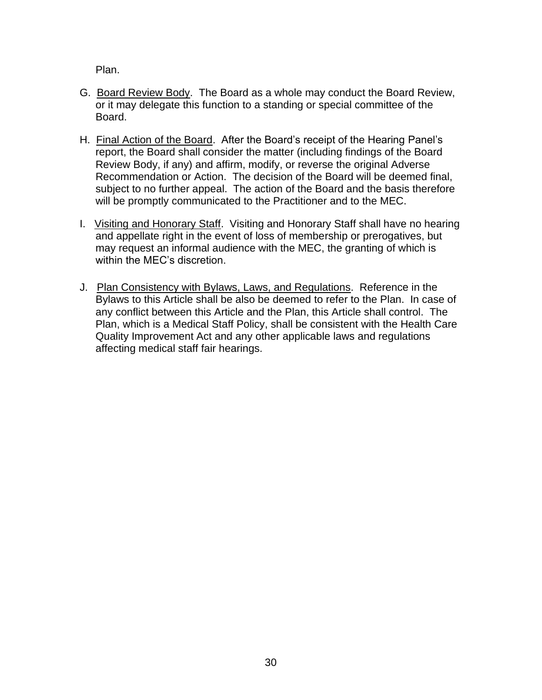Plan.

- G. Board Review Body. The Board as a whole may conduct the Board Review, or it may delegate this function to a standing or special committee of the Board.
- H. Final Action of the Board. After the Board's receipt of the Hearing Panel's report, the Board shall consider the matter (including findings of the Board Review Body, if any) and affirm, modify, or reverse the original Adverse Recommendation or Action. The decision of the Board will be deemed final, subject to no further appeal. The action of the Board and the basis therefore will be promptly communicated to the Practitioner and to the MEC.
- I. Visiting and Honorary Staff. Visiting and Honorary Staff shall have no hearing and appellate right in the event of loss of membership or prerogatives, but may request an informal audience with the MEC, the granting of which is within the MEC's discretion.
- J. Plan Consistency with Bylaws, Laws, and Regulations. Reference in the Bylaws to this Article shall be also be deemed to refer to the Plan. In case of any conflict between this Article and the Plan, this Article shall control. The Plan, which is a Medical Staff Policy, shall be consistent with the Health Care Quality Improvement Act and any other applicable laws and regulations affecting medical staff fair hearings.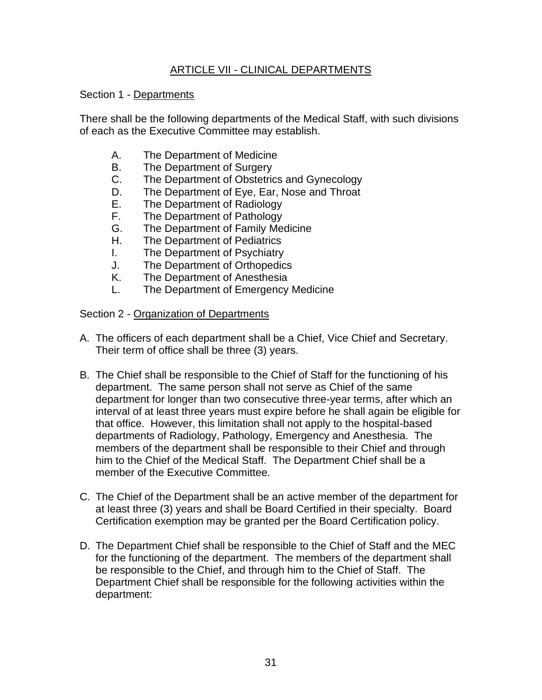# ARTICLE VII - CLINICAL DEPARTMENTS

## Section 1 - Departments

There shall be the following departments of the Medical Staff, with such divisions of each as the Executive Committee may establish.

- A. The Department of Medicine
- B. The Department of Surgery
- C. The Department of Obstetrics and Gynecology
- D. The Department of Eye, Ear, Nose and Throat
- E. The Department of Radiology
- F. The Department of Pathology
- G. The Department of Family Medicine
- H. The Department of Pediatrics
- I. The Department of Psychiatry
- J. The Department of Orthopedics
- K. The Department of Anesthesia
- L. The Department of Emergency Medicine

### Section 2 - Organization of Departments

- A. The officers of each department shall be a Chief, Vice Chief and Secretary. Their term of office shall be three (3) years.
- B. The Chief shall be responsible to the Chief of Staff for the functioning of his department. The same person shall not serve as Chief of the same department for longer than two consecutive three-year terms, after which an interval of at least three years must expire before he shall again be eligible for that office. However, this limitation shall not apply to the hospital-based departments of Radiology, Pathology, Emergency and Anesthesia. The members of the department shall be responsible to their Chief and through him to the Chief of the Medical Staff. The Department Chief shall be a member of the Executive Committee.
- C. The Chief of the Department shall be an active member of the department for at least three (3) years and shall be Board Certified in their specialty. Board Certification exemption may be granted per the Board Certification policy.
- D. The Department Chief shall be responsible to the Chief of Staff and the MEC for the functioning of the department. The members of the department shall be responsible to the Chief, and through him to the Chief of Staff. The Department Chief shall be responsible for the following activities within the department: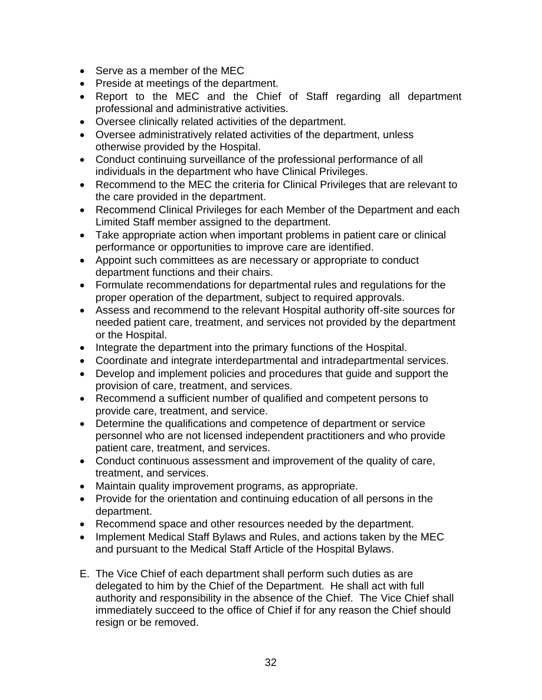- Serve as a member of the MEC
- Preside at meetings of the department.
- Report to the MEC and the Chief of Staff regarding all department professional and administrative activities.
- Oversee clinically related activities of the department.
- Oversee administratively related activities of the department, unless otherwise provided by the Hospital.
- Conduct continuing surveillance of the professional performance of all individuals in the department who have Clinical Privileges.
- Recommend to the MEC the criteria for Clinical Privileges that are relevant to the care provided in the department.
- Recommend Clinical Privileges for each Member of the Department and each Limited Staff member assigned to the department.
- Take appropriate action when important problems in patient care or clinical performance or opportunities to improve care are identified.
- Appoint such committees as are necessary or appropriate to conduct department functions and their chairs.
- Formulate recommendations for departmental rules and regulations for the proper operation of the department, subject to required approvals.
- Assess and recommend to the relevant Hospital authority off-site sources for needed patient care, treatment, and services not provided by the department or the Hospital.
- Integrate the department into the primary functions of the Hospital.
- Coordinate and integrate interdepartmental and intradepartmental services.
- Develop and implement policies and procedures that guide and support the provision of care, treatment, and services.
- Recommend a sufficient number of qualified and competent persons to provide care, treatment, and service.
- Determine the qualifications and competence of department or service personnel who are not licensed independent practitioners and who provide patient care, treatment, and services.
- Conduct continuous assessment and improvement of the quality of care, treatment, and services.
- Maintain quality improvement programs, as appropriate.
- Provide for the orientation and continuing education of all persons in the department.
- Recommend space and other resources needed by the department.
- Implement Medical Staff Bylaws and Rules, and actions taken by the MEC and pursuant to the Medical Staff Article of the Hospital Bylaws.
- E. The Vice Chief of each department shall perform such duties as are delegated to him by the Chief of the Department. He shall act with full authority and responsibility in the absence of the Chief. The Vice Chief shall immediately succeed to the office of Chief if for any reason the Chief should resign or be removed.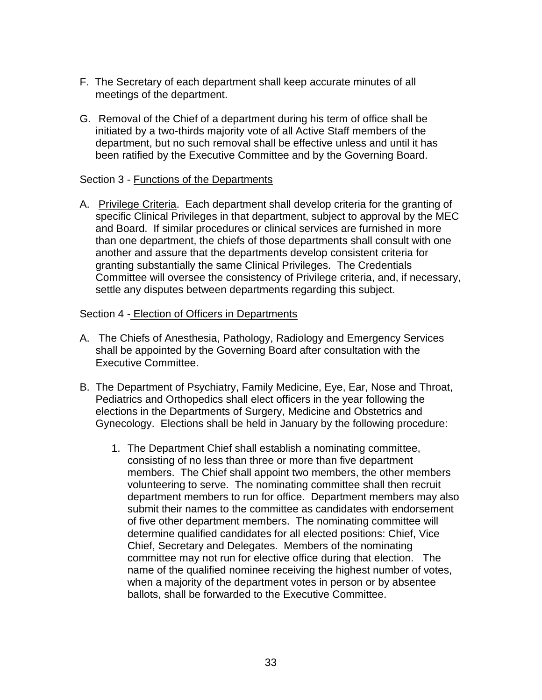- F. The Secretary of each department shall keep accurate minutes of all meetings of the department.
- G. Removal of the Chief of a department during his term of office shall be initiated by a two-thirds majority vote of all Active Staff members of the department, but no such removal shall be effective unless and until it has been ratified by the Executive Committee and by the Governing Board.

#### Section 3 - Functions of the Departments

A. Privilege Criteria. Each department shall develop criteria for the granting of specific Clinical Privileges in that department, subject to approval by the MEC and Board. If similar procedures or clinical services are furnished in more than one department, the chiefs of those departments shall consult with one another and assure that the departments develop consistent criteria for granting substantially the same Clinical Privileges. The Credentials Committee will oversee the consistency of Privilege criteria, and, if necessary, settle any disputes between departments regarding this subject.

#### Section 4 - Election of Officers in Departments

- A. The Chiefs of Anesthesia, Pathology, Radiology and Emergency Services shall be appointed by the Governing Board after consultation with the Executive Committee.
- B. The Department of Psychiatry, Family Medicine, Eye, Ear, Nose and Throat, Pediatrics and Orthopedics shall elect officers in the year following the elections in the Departments of Surgery, Medicine and Obstetrics and Gynecology. Elections shall be held in January by the following procedure:
	- 1. The Department Chief shall establish a nominating committee, consisting of no less than three or more than five department members. The Chief shall appoint two members, the other members volunteering to serve. The nominating committee shall then recruit department members to run for office. Department members may also submit their names to the committee as candidates with endorsement of five other department members. The nominating committee will determine qualified candidates for all elected positions: Chief, Vice Chief, Secretary and Delegates. Members of the nominating committee may not run for elective office during that election. The name of the qualified nominee receiving the highest number of votes, when a majority of the department votes in person or by absentee ballots, shall be forwarded to the Executive Committee.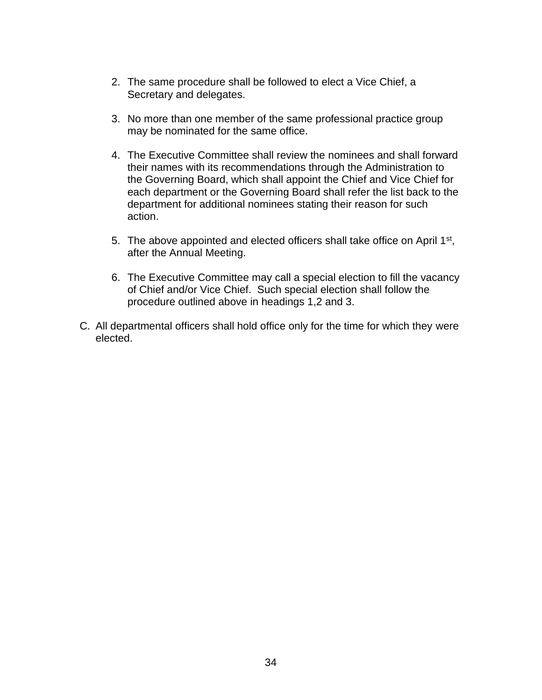- 2. The same procedure shall be followed to elect a Vice Chief, a Secretary and delegates.
- 3. No more than one member of the same professional practice group may be nominated for the same office.
- 4. The Executive Committee shall review the nominees and shall forward their names with its recommendations through the Administration to the Governing Board, which shall appoint the Chief and Vice Chief for each department or the Governing Board shall refer the list back to the department for additional nominees stating their reason for such action.
- 5. The above appointed and elected officers shall take office on April 1<sup>st</sup>, after the Annual Meeting.
- 6. The Executive Committee may call a special election to fill the vacancy of Chief and/or Vice Chief. Such special election shall follow the procedure outlined above in headings 1,2 and 3.
- C. All departmental officers shall hold office only for the time for which they were elected.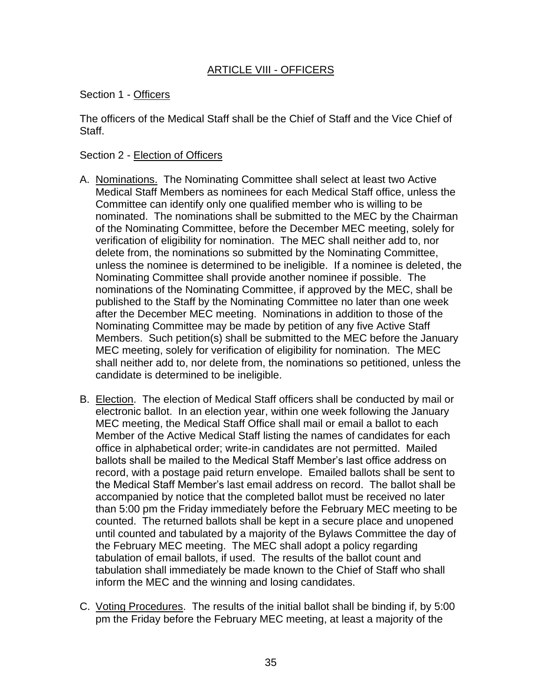# ARTICLE VIII - OFFICERS

### Section 1 - Officers

The officers of the Medical Staff shall be the Chief of Staff and the Vice Chief of Staff.

### Section 2 - Election of Officers

- A. Nominations. The Nominating Committee shall select at least two Active Medical Staff Members as nominees for each Medical Staff office, unless the Committee can identify only one qualified member who is willing to be nominated. The nominations shall be submitted to the MEC by the Chairman of the Nominating Committee, before the December MEC meeting, solely for verification of eligibility for nomination. The MEC shall neither add to, nor delete from, the nominations so submitted by the Nominating Committee, unless the nominee is determined to be ineligible. If a nominee is deleted, the Nominating Committee shall provide another nominee if possible. The nominations of the Nominating Committee, if approved by the MEC, shall be published to the Staff by the Nominating Committee no later than one week after the December MEC meeting. Nominations in addition to those of the Nominating Committee may be made by petition of any five Active Staff Members. Such petition(s) shall be submitted to the MEC before the January MEC meeting, solely for verification of eligibility for nomination. The MEC shall neither add to, nor delete from, the nominations so petitioned, unless the candidate is determined to be ineligible.
- B. Election. The election of Medical Staff officers shall be conducted by mail or electronic ballot. In an election year, within one week following the January MEC meeting, the Medical Staff Office shall mail or email a ballot to each Member of the Active Medical Staff listing the names of candidates for each office in alphabetical order; write-in candidates are not permitted. Mailed ballots shall be mailed to the Medical Staff Member's last office address on record, with a postage paid return envelope. Emailed ballots shall be sent to the Medical Staff Member's last email address on record. The ballot shall be accompanied by notice that the completed ballot must be received no later than 5:00 pm the Friday immediately before the February MEC meeting to be counted. The returned ballots shall be kept in a secure place and unopened until counted and tabulated by a majority of the Bylaws Committee the day of the February MEC meeting. The MEC shall adopt a policy regarding tabulation of email ballots, if used. The results of the ballot count and tabulation shall immediately be made known to the Chief of Staff who shall inform the MEC and the winning and losing candidates.
- C. Voting Procedures. The results of the initial ballot shall be binding if, by 5:00 pm the Friday before the February MEC meeting, at least a majority of the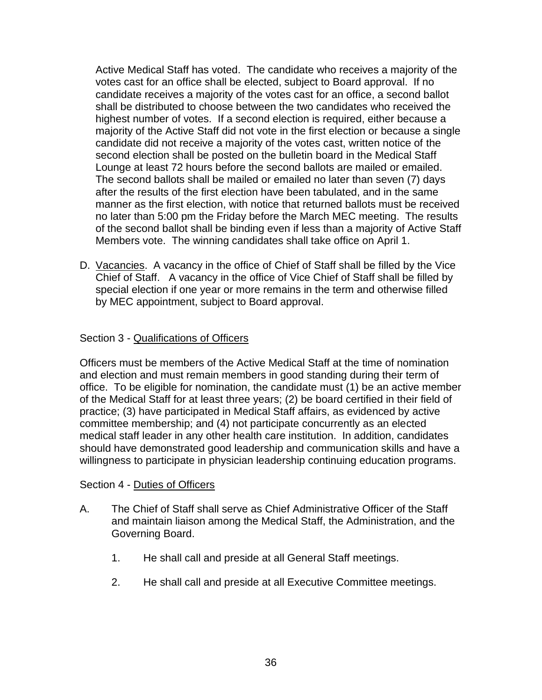Active Medical Staff has voted. The candidate who receives a majority of the votes cast for an office shall be elected, subject to Board approval. If no candidate receives a majority of the votes cast for an office, a second ballot shall be distributed to choose between the two candidates who received the highest number of votes. If a second election is required, either because a majority of the Active Staff did not vote in the first election or because a single candidate did not receive a majority of the votes cast, written notice of the second election shall be posted on the bulletin board in the Medical Staff Lounge at least 72 hours before the second ballots are mailed or emailed. The second ballots shall be mailed or emailed no later than seven (7) days after the results of the first election have been tabulated, and in the same manner as the first election, with notice that returned ballots must be received no later than 5:00 pm the Friday before the March MEC meeting. The results of the second ballot shall be binding even if less than a majority of Active Staff Members vote. The winning candidates shall take office on April 1.

D. Vacancies. A vacancy in the office of Chief of Staff shall be filled by the Vice Chief of Staff. A vacancy in the office of Vice Chief of Staff shall be filled by special election if one year or more remains in the term and otherwise filled by MEC appointment, subject to Board approval.

# Section 3 - Qualifications of Officers

Officers must be members of the Active Medical Staff at the time of nomination and election and must remain members in good standing during their term of office. To be eligible for nomination, the candidate must (1) be an active member of the Medical Staff for at least three years; (2) be board certified in their field of practice; (3) have participated in Medical Staff affairs, as evidenced by active committee membership; and (4) not participate concurrently as an elected medical staff leader in any other health care institution. In addition, candidates should have demonstrated good leadership and communication skills and have a willingness to participate in physician leadership continuing education programs.

### Section 4 - Duties of Officers

- A. The Chief of Staff shall serve as Chief Administrative Officer of the Staff and maintain liaison among the Medical Staff, the Administration, and the Governing Board.
	- 1. He shall call and preside at all General Staff meetings.
	- 2. He shall call and preside at all Executive Committee meetings.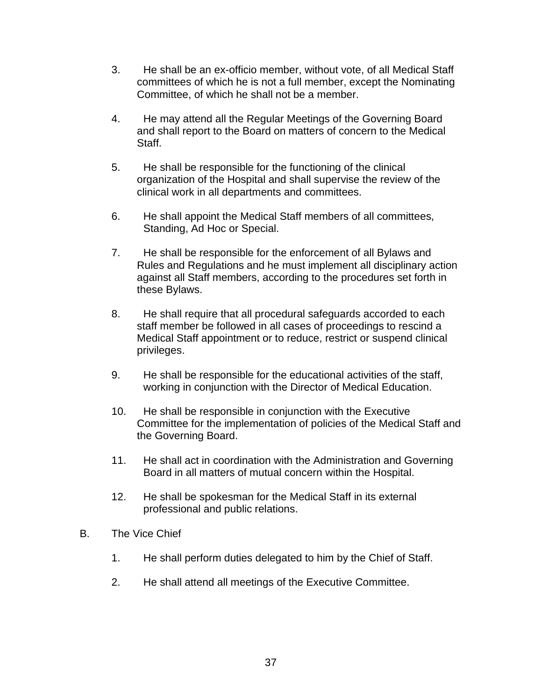- 3. He shall be an ex-officio member, without vote, of all Medical Staff committees of which he is not a full member, except the Nominating Committee, of which he shall not be a member.
- 4. He may attend all the Regular Meetings of the Governing Board and shall report to the Board on matters of concern to the Medical Staff.
- 5. He shall be responsible for the functioning of the clinical organization of the Hospital and shall supervise the review of the clinical work in all departments and committees.
- 6. He shall appoint the Medical Staff members of all committees, Standing, Ad Hoc or Special.
- 7. He shall be responsible for the enforcement of all Bylaws and Rules and Regulations and he must implement all disciplinary action against all Staff members, according to the procedures set forth in these Bylaws.
- 8. He shall require that all procedural safeguards accorded to each staff member be followed in all cases of proceedings to rescind a Medical Staff appointment or to reduce, restrict or suspend clinical privileges.
- 9. He shall be responsible for the educational activities of the staff, working in conjunction with the Director of Medical Education.
- 10. He shall be responsible in conjunction with the Executive Committee for the implementation of policies of the Medical Staff and the Governing Board.
- 11. He shall act in coordination with the Administration and Governing Board in all matters of mutual concern within the Hospital.
- 12. He shall be spokesman for the Medical Staff in its external professional and public relations.
- B. The Vice Chief
	- 1. He shall perform duties delegated to him by the Chief of Staff.
	- 2. He shall attend all meetings of the Executive Committee.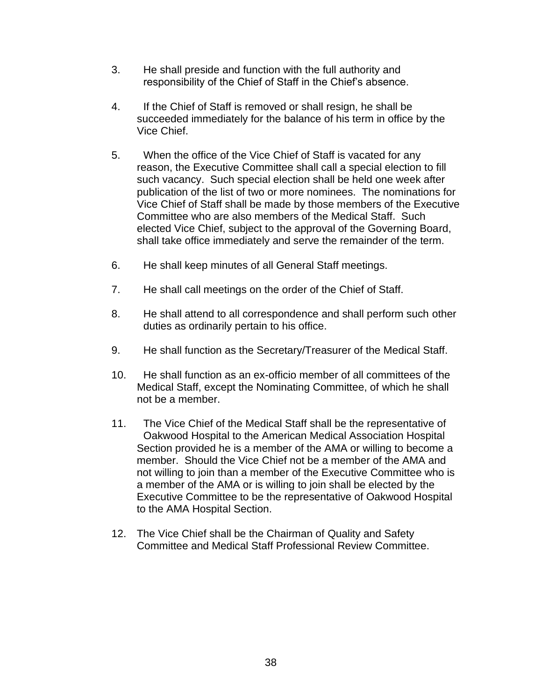- 3. He shall preside and function with the full authority and responsibility of the Chief of Staff in the Chief's absence.
- 4. If the Chief of Staff is removed or shall resign, he shall be succeeded immediately for the balance of his term in office by the Vice Chief.
- 5. When the office of the Vice Chief of Staff is vacated for any reason, the Executive Committee shall call a special election to fill such vacancy. Such special election shall be held one week after publication of the list of two or more nominees. The nominations for Vice Chief of Staff shall be made by those members of the Executive Committee who are also members of the Medical Staff. Such elected Vice Chief, subject to the approval of the Governing Board, shall take office immediately and serve the remainder of the term.
- 6. He shall keep minutes of all General Staff meetings.
- 7. He shall call meetings on the order of the Chief of Staff.
- 8. He shall attend to all correspondence and shall perform such other duties as ordinarily pertain to his office.
- 9. He shall function as the Secretary/Treasurer of the Medical Staff.
- 10. He shall function as an ex-officio member of all committees of the Medical Staff, except the Nominating Committee, of which he shall not be a member.
- 11. The Vice Chief of the Medical Staff shall be the representative of Oakwood Hospital to the American Medical Association Hospital Section provided he is a member of the AMA or willing to become a member. Should the Vice Chief not be a member of the AMA and not willing to join than a member of the Executive Committee who is a member of the AMA or is willing to join shall be elected by the Executive Committee to be the representative of Oakwood Hospital to the AMA Hospital Section.
- 12. The Vice Chief shall be the Chairman of Quality and Safety Committee and Medical Staff Professional Review Committee.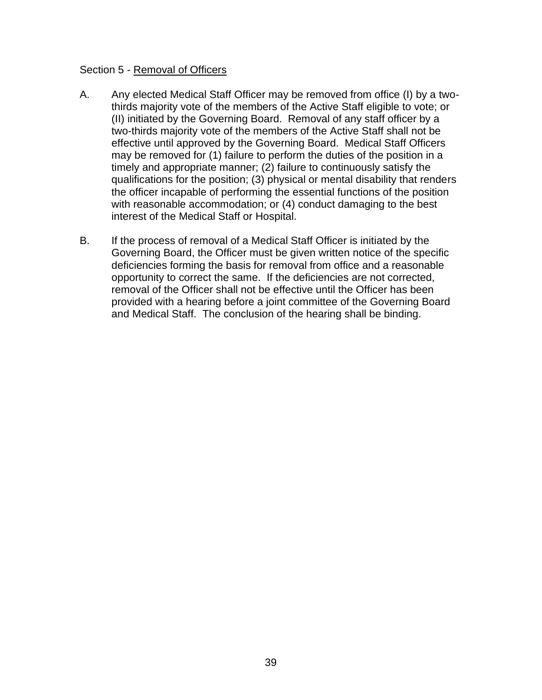#### Section 5 - Removal of Officers

- A. Any elected Medical Staff Officer may be removed from office (I) by a twothirds majority vote of the members of the Active Staff eligible to vote; or (II) initiated by the Governing Board. Removal of any staff officer by a two-thirds majority vote of the members of the Active Staff shall not be effective until approved by the Governing Board. Medical Staff Officers may be removed for (1) failure to perform the duties of the position in a timely and appropriate manner; (2) failure to continuously satisfy the qualifications for the position; (3) physical or mental disability that renders the officer incapable of performing the essential functions of the position with reasonable accommodation; or (4) conduct damaging to the best interest of the Medical Staff or Hospital.
- B. If the process of removal of a Medical Staff Officer is initiated by the Governing Board, the Officer must be given written notice of the specific deficiencies forming the basis for removal from office and a reasonable opportunity to correct the same. If the deficiencies are not corrected, removal of the Officer shall not be effective until the Officer has been provided with a hearing before a joint committee of the Governing Board and Medical Staff. The conclusion of the hearing shall be binding.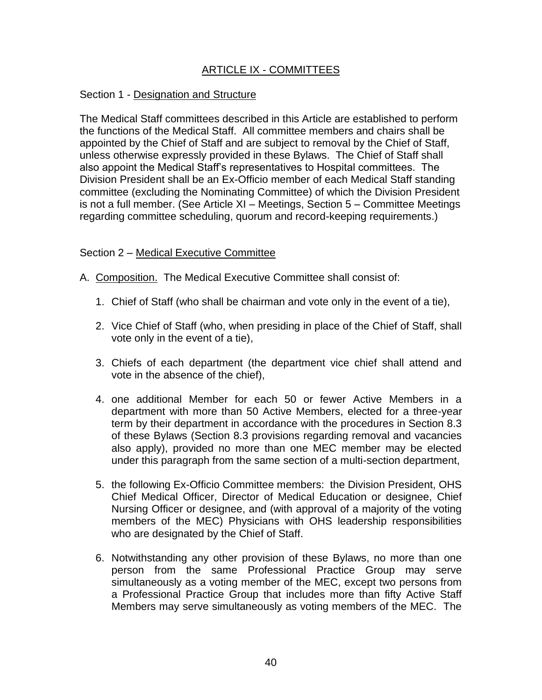# ARTICLE IX - COMMITTEES

#### Section 1 - Designation and Structure

The Medical Staff committees described in this Article are established to perform the functions of the Medical Staff. All committee members and chairs shall be appointed by the Chief of Staff and are subject to removal by the Chief of Staff, unless otherwise expressly provided in these Bylaws. The Chief of Staff shall also appoint the Medical Staff's representatives to Hospital committees. The Division President shall be an Ex-Officio member of each Medical Staff standing committee (excluding the Nominating Committee) of which the Division President is not a full member. (See Article XI – Meetings, Section 5 – Committee Meetings regarding committee scheduling, quorum and record-keeping requirements.)

#### Section 2 – Medical Executive Committee

- A. Composition. The Medical Executive Committee shall consist of:
	- 1. Chief of Staff (who shall be chairman and vote only in the event of a tie),
	- 2. Vice Chief of Staff (who, when presiding in place of the Chief of Staff, shall vote only in the event of a tie),
	- 3. Chiefs of each department (the department vice chief shall attend and vote in the absence of the chief),
	- 4. one additional Member for each 50 or fewer Active Members in a department with more than 50 Active Members, elected for a three-year term by their department in accordance with the procedures in Section 8.3 of these Bylaws (Section 8.3 provisions regarding removal and vacancies also apply), provided no more than one MEC member may be elected under this paragraph from the same section of a multi-section department,
	- 5. the following Ex-Officio Committee members: the Division President, OHS Chief Medical Officer, Director of Medical Education or designee, Chief Nursing Officer or designee, and (with approval of a majority of the voting members of the MEC) Physicians with OHS leadership responsibilities who are designated by the Chief of Staff.
	- 6. Notwithstanding any other provision of these Bylaws, no more than one person from the same Professional Practice Group may serve simultaneously as a voting member of the MEC, except two persons from a Professional Practice Group that includes more than fifty Active Staff Members may serve simultaneously as voting members of the MEC. The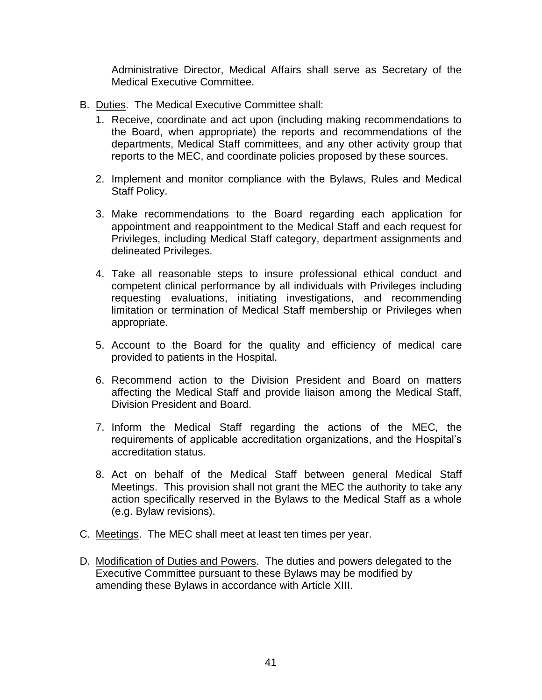Administrative Director, Medical Affairs shall serve as Secretary of the Medical Executive Committee.

- B. Duties. The Medical Executive Committee shall:
	- 1. Receive, coordinate and act upon (including making recommendations to the Board, when appropriate) the reports and recommendations of the departments, Medical Staff committees, and any other activity group that reports to the MEC, and coordinate policies proposed by these sources.
	- 2. Implement and monitor compliance with the Bylaws, Rules and Medical Staff Policy.
	- 3. Make recommendations to the Board regarding each application for appointment and reappointment to the Medical Staff and each request for Privileges, including Medical Staff category, department assignments and delineated Privileges.
	- 4. Take all reasonable steps to insure professional ethical conduct and competent clinical performance by all individuals with Privileges including requesting evaluations, initiating investigations, and recommending limitation or termination of Medical Staff membership or Privileges when appropriate.
	- 5. Account to the Board for the quality and efficiency of medical care provided to patients in the Hospital.
	- 6. Recommend action to the Division President and Board on matters affecting the Medical Staff and provide liaison among the Medical Staff, Division President and Board.
	- 7. Inform the Medical Staff regarding the actions of the MEC, the requirements of applicable accreditation organizations, and the Hospital's accreditation status.
	- 8. Act on behalf of the Medical Staff between general Medical Staff Meetings. This provision shall not grant the MEC the authority to take any action specifically reserved in the Bylaws to the Medical Staff as a whole (e.g. Bylaw revisions).
- C. Meetings. The MEC shall meet at least ten times per year.
- D. Modification of Duties and Powers. The duties and powers delegated to the Executive Committee pursuant to these Bylaws may be modified by amending these Bylaws in accordance with Article XIII.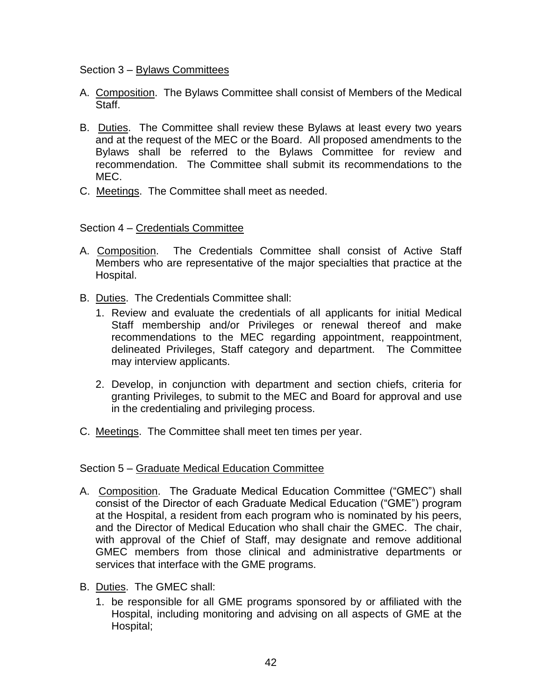## Section 3 – Bylaws Committees

- A. Composition. The Bylaws Committee shall consist of Members of the Medical Staff.
- B. Duties. The Committee shall review these Bylaws at least every two years and at the request of the MEC or the Board. All proposed amendments to the Bylaws shall be referred to the Bylaws Committee for review and recommendation. The Committee shall submit its recommendations to the MEC.
- C. Meetings. The Committee shall meet as needed.

# Section 4 – Credentials Committee

- A. Composition. The Credentials Committee shall consist of Active Staff Members who are representative of the major specialties that practice at the Hospital.
- B. Duties. The Credentials Committee shall:
	- 1. Review and evaluate the credentials of all applicants for initial Medical Staff membership and/or Privileges or renewal thereof and make recommendations to the MEC regarding appointment, reappointment, delineated Privileges, Staff category and department. The Committee may interview applicants.
	- 2. Develop, in conjunction with department and section chiefs, criteria for granting Privileges, to submit to the MEC and Board for approval and use in the credentialing and privileging process.
- C. Meetings. The Committee shall meet ten times per year.

### Section 5 – Graduate Medical Education Committee

- A. Composition. The Graduate Medical Education Committee ("GMEC") shall consist of the Director of each Graduate Medical Education ("GME") program at the Hospital, a resident from each program who is nominated by his peers, and the Director of Medical Education who shall chair the GMEC. The chair, with approval of the Chief of Staff, may designate and remove additional GMEC members from those clinical and administrative departments or services that interface with the GME programs.
- B. Duties. The GMEC shall:
	- 1. be responsible for all GME programs sponsored by or affiliated with the Hospital, including monitoring and advising on all aspects of GME at the Hospital;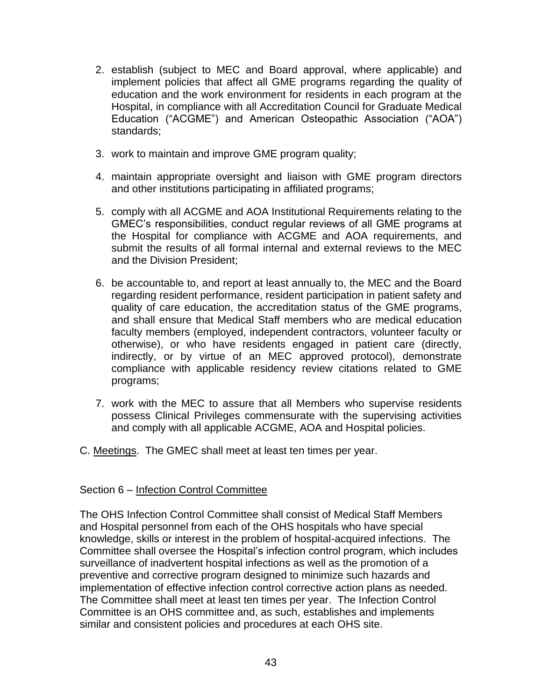- 2. establish (subject to MEC and Board approval, where applicable) and implement policies that affect all GME programs regarding the quality of education and the work environment for residents in each program at the Hospital, in compliance with all Accreditation Council for Graduate Medical Education ("ACGME") and American Osteopathic Association ("AOA") standards;
- 3. work to maintain and improve GME program quality;
- 4. maintain appropriate oversight and liaison with GME program directors and other institutions participating in affiliated programs;
- 5. comply with all ACGME and AOA Institutional Requirements relating to the GMEC's responsibilities, conduct regular reviews of all GME programs at the Hospital for compliance with ACGME and AOA requirements, and submit the results of all formal internal and external reviews to the MEC and the Division President;
- 6. be accountable to, and report at least annually to, the MEC and the Board regarding resident performance, resident participation in patient safety and quality of care education, the accreditation status of the GME programs, and shall ensure that Medical Staff members who are medical education faculty members (employed, independent contractors, volunteer faculty or otherwise), or who have residents engaged in patient care (directly, indirectly, or by virtue of an MEC approved protocol), demonstrate compliance with applicable residency review citations related to GME programs;
- 7. work with the MEC to assure that all Members who supervise residents possess Clinical Privileges commensurate with the supervising activities and comply with all applicable ACGME, AOA and Hospital policies.
- C. Meetings. The GMEC shall meet at least ten times per year.

#### Section 6 – Infection Control Committee

The OHS Infection Control Committee shall consist of Medical Staff Members and Hospital personnel from each of the OHS hospitals who have special knowledge, skills or interest in the problem of hospital-acquired infections. The Committee shall oversee the Hospital's infection control program, which includes surveillance of inadvertent hospital infections as well as the promotion of a preventive and corrective program designed to minimize such hazards and implementation of effective infection control corrective action plans as needed. The Committee shall meet at least ten times per year. The Infection Control Committee is an OHS committee and, as such, establishes and implements similar and consistent policies and procedures at each OHS site.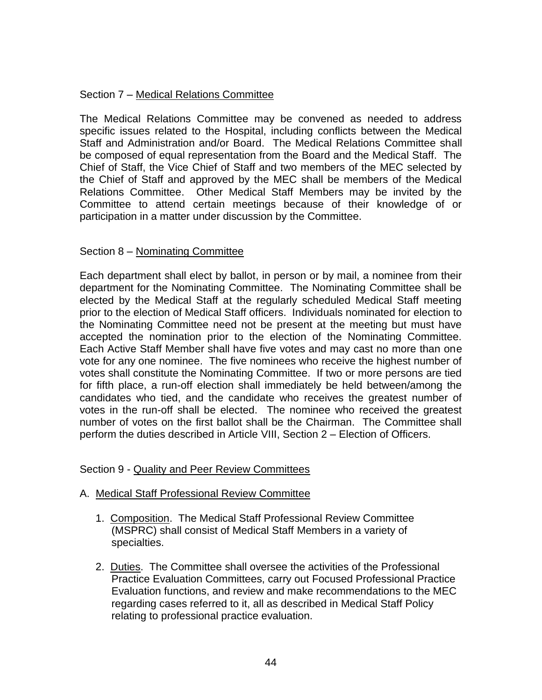# Section 7 – Medical Relations Committee

The Medical Relations Committee may be convened as needed to address specific issues related to the Hospital, including conflicts between the Medical Staff and Administration and/or Board. The Medical Relations Committee shall be composed of equal representation from the Board and the Medical Staff. The Chief of Staff, the Vice Chief of Staff and two members of the MEC selected by the Chief of Staff and approved by the MEC shall be members of the Medical Relations Committee. Other Medical Staff Members may be invited by the Committee to attend certain meetings because of their knowledge of or participation in a matter under discussion by the Committee.

### Section 8 – Nominating Committee

Each department shall elect by ballot, in person or by mail, a nominee from their department for the Nominating Committee. The Nominating Committee shall be elected by the Medical Staff at the regularly scheduled Medical Staff meeting prior to the election of Medical Staff officers. Individuals nominated for election to the Nominating Committee need not be present at the meeting but must have accepted the nomination prior to the election of the Nominating Committee. Each Active Staff Member shall have five votes and may cast no more than one vote for any one nominee. The five nominees who receive the highest number of votes shall constitute the Nominating Committee. If two or more persons are tied for fifth place, a run-off election shall immediately be held between/among the candidates who tied, and the candidate who receives the greatest number of votes in the run-off shall be elected. The nominee who received the greatest number of votes on the first ballot shall be the Chairman. The Committee shall perform the duties described in Article VIII, Section 2 – Election of Officers.

### Section 9 - Quality and Peer Review Committees

### A. Medical Staff Professional Review Committee

- 1. Composition. The Medical Staff Professional Review Committee (MSPRC) shall consist of Medical Staff Members in a variety of specialties.
- 2. Duties. The Committee shall oversee the activities of the Professional Practice Evaluation Committees, carry out Focused Professional Practice Evaluation functions, and review and make recommendations to the MEC regarding cases referred to it, all as described in Medical Staff Policy relating to professional practice evaluation.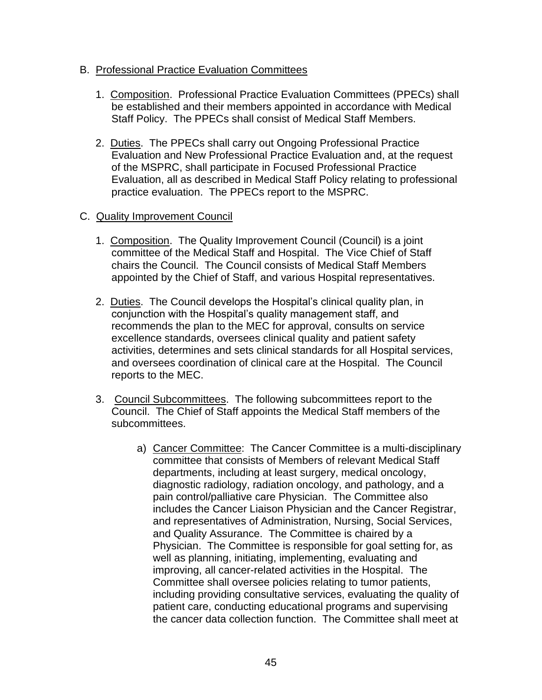## B. Professional Practice Evaluation Committees

- 1. Composition. Professional Practice Evaluation Committees (PPECs) shall be established and their members appointed in accordance with Medical Staff Policy. The PPECs shall consist of Medical Staff Members.
- 2. Duties. The PPECs shall carry out Ongoing Professional Practice Evaluation and New Professional Practice Evaluation and, at the request of the MSPRC, shall participate in Focused Professional Practice Evaluation, all as described in Medical Staff Policy relating to professional practice evaluation. The PPECs report to the MSPRC.

# C. Quality Improvement Council

- 1. Composition. The Quality Improvement Council (Council) is a joint committee of the Medical Staff and Hospital. The Vice Chief of Staff chairs the Council. The Council consists of Medical Staff Members appointed by the Chief of Staff, and various Hospital representatives.
- 2. Duties. The Council develops the Hospital's clinical quality plan, in conjunction with the Hospital's quality management staff, and recommends the plan to the MEC for approval, consults on service excellence standards, oversees clinical quality and patient safety activities, determines and sets clinical standards for all Hospital services, and oversees coordination of clinical care at the Hospital. The Council reports to the MEC.
- 3. Council Subcommittees. The following subcommittees report to the Council. The Chief of Staff appoints the Medical Staff members of the subcommittees.
	- a) Cancer Committee: The Cancer Committee is a multi-disciplinary committee that consists of Members of relevant Medical Staff departments, including at least surgery, medical oncology, diagnostic radiology, radiation oncology, and pathology, and a pain control/palliative care Physician. The Committee also includes the Cancer Liaison Physician and the Cancer Registrar, and representatives of Administration, Nursing, Social Services, and Quality Assurance. The Committee is chaired by a Physician. The Committee is responsible for goal setting for, as well as planning, initiating, implementing, evaluating and improving, all cancer-related activities in the Hospital. The Committee shall oversee policies relating to tumor patients, including providing consultative services, evaluating the quality of patient care, conducting educational programs and supervising the cancer data collection function. The Committee shall meet at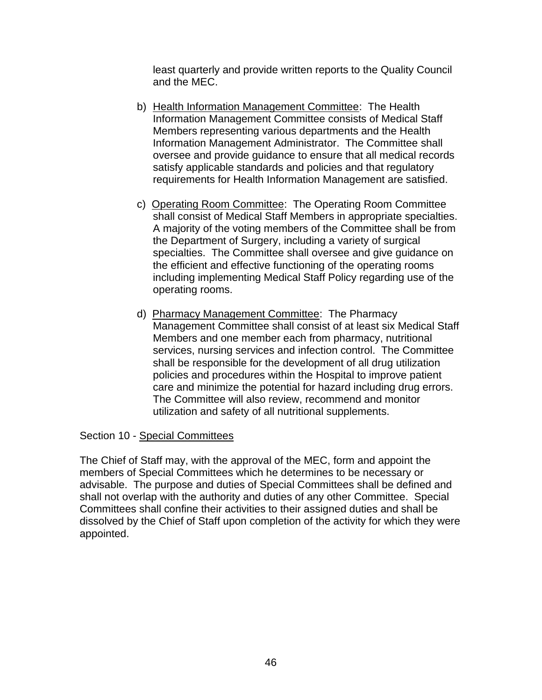least quarterly and provide written reports to the Quality Council and the MEC.

- b) Health Information Management Committee: The Health Information Management Committee consists of Medical Staff Members representing various departments and the Health Information Management Administrator. The Committee shall oversee and provide guidance to ensure that all medical records satisfy applicable standards and policies and that regulatory requirements for Health Information Management are satisfied.
- c) Operating Room Committee: The Operating Room Committee shall consist of Medical Staff Members in appropriate specialties. A majority of the voting members of the Committee shall be from the Department of Surgery, including a variety of surgical specialties. The Committee shall oversee and give guidance on the efficient and effective functioning of the operating rooms including implementing Medical Staff Policy regarding use of the operating rooms.
- d) Pharmacy Management Committee: The Pharmacy Management Committee shall consist of at least six Medical Staff Members and one member each from pharmacy, nutritional services, nursing services and infection control. The Committee shall be responsible for the development of all drug utilization policies and procedures within the Hospital to improve patient care and minimize the potential for hazard including drug errors. The Committee will also review, recommend and monitor utilization and safety of all nutritional supplements.

### Section 10 - Special Committees

The Chief of Staff may, with the approval of the MEC, form and appoint the members of Special Committees which he determines to be necessary or advisable. The purpose and duties of Special Committees shall be defined and shall not overlap with the authority and duties of any other Committee. Special Committees shall confine their activities to their assigned duties and shall be dissolved by the Chief of Staff upon completion of the activity for which they were appointed.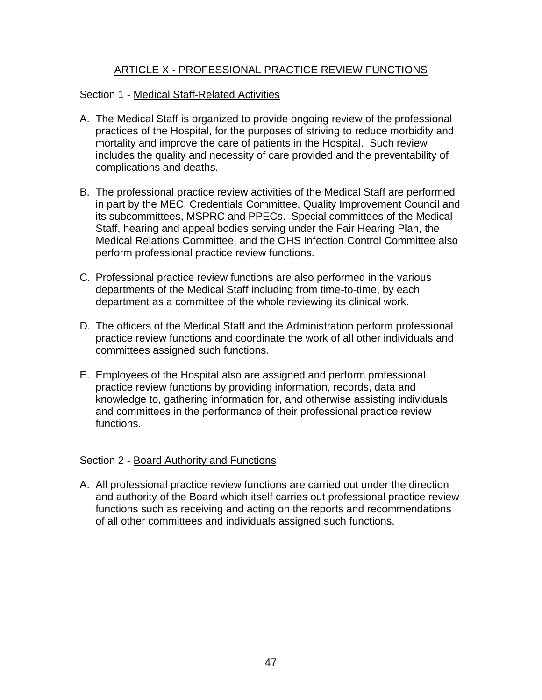# ARTICLE X - PROFESSIONAL PRACTICE REVIEW FUNCTIONS

## Section 1 - Medical Staff-Related Activities

- A. The Medical Staff is organized to provide ongoing review of the professional practices of the Hospital, for the purposes of striving to reduce morbidity and mortality and improve the care of patients in the Hospital. Such review includes the quality and necessity of care provided and the preventability of complications and deaths.
- B. The professional practice review activities of the Medical Staff are performed in part by the MEC, Credentials Committee, Quality Improvement Council and its subcommittees, MSPRC and PPECs. Special committees of the Medical Staff, hearing and appeal bodies serving under the Fair Hearing Plan, the Medical Relations Committee, and the OHS Infection Control Committee also perform professional practice review functions.
- C. Professional practice review functions are also performed in the various departments of the Medical Staff including from time-to-time, by each department as a committee of the whole reviewing its clinical work.
- D. The officers of the Medical Staff and the Administration perform professional practice review functions and coordinate the work of all other individuals and committees assigned such functions.
- E. Employees of the Hospital also are assigned and perform professional practice review functions by providing information, records, data and knowledge to, gathering information for, and otherwise assisting individuals and committees in the performance of their professional practice review functions.

### Section 2 - Board Authority and Functions

A. All professional practice review functions are carried out under the direction and authority of the Board which itself carries out professional practice review functions such as receiving and acting on the reports and recommendations of all other committees and individuals assigned such functions.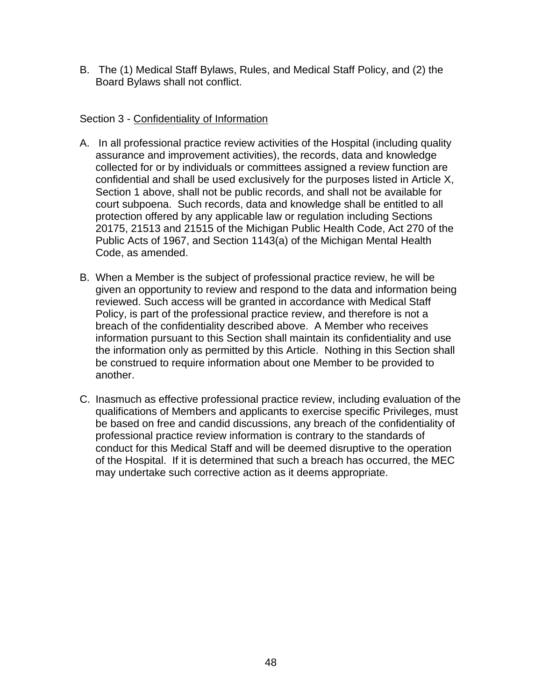B. The (1) Medical Staff Bylaws, Rules, and Medical Staff Policy, and (2) the Board Bylaws shall not conflict.

# Section 3 - Confidentiality of Information

- A. In all professional practice review activities of the Hospital (including quality assurance and improvement activities), the records, data and knowledge collected for or by individuals or committees assigned a review function are confidential and shall be used exclusively for the purposes listed in Article X, Section 1 above, shall not be public records, and shall not be available for court subpoena. Such records, data and knowledge shall be entitled to all protection offered by any applicable law or regulation including Sections 20175, 21513 and 21515 of the Michigan Public Health Code, Act 270 of the Public Acts of 1967, and Section 1143(a) of the Michigan Mental Health Code, as amended.
- B. When a Member is the subject of professional practice review, he will be given an opportunity to review and respond to the data and information being reviewed. Such access will be granted in accordance with Medical Staff Policy, is part of the professional practice review, and therefore is not a breach of the confidentiality described above. A Member who receives information pursuant to this Section shall maintain its confidentiality and use the information only as permitted by this Article. Nothing in this Section shall be construed to require information about one Member to be provided to another.
- C. Inasmuch as effective professional practice review, including evaluation of the qualifications of Members and applicants to exercise specific Privileges, must be based on free and candid discussions, any breach of the confidentiality of professional practice review information is contrary to the standards of conduct for this Medical Staff and will be deemed disruptive to the operation of the Hospital. If it is determined that such a breach has occurred, the MEC may undertake such corrective action as it deems appropriate.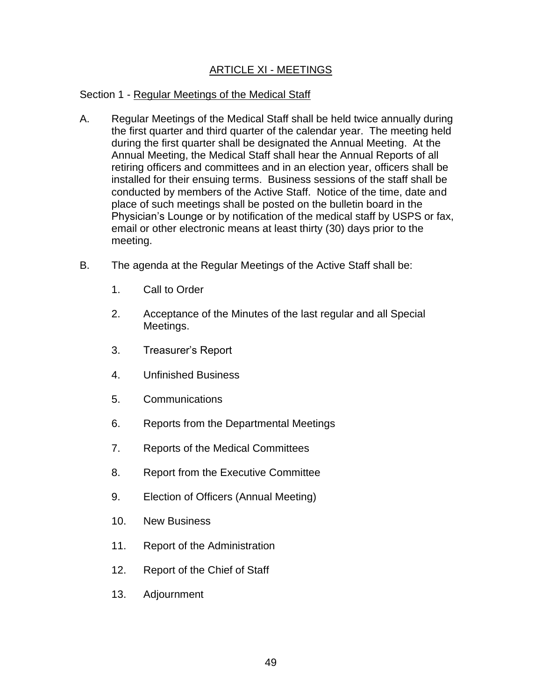# ARTICLE XI - MEETINGS

# Section 1 - Regular Meetings of the Medical Staff

- A. Regular Meetings of the Medical Staff shall be held twice annually during the first quarter and third quarter of the calendar year. The meeting held during the first quarter shall be designated the Annual Meeting. At the Annual Meeting, the Medical Staff shall hear the Annual Reports of all retiring officers and committees and in an election year, officers shall be installed for their ensuing terms. Business sessions of the staff shall be conducted by members of the Active Staff. Notice of the time, date and place of such meetings shall be posted on the bulletin board in the Physician's Lounge or by notification of the medical staff by USPS or fax, email or other electronic means at least thirty (30) days prior to the meeting.
- B. The agenda at the Regular Meetings of the Active Staff shall be:
	- 1. Call to Order
	- 2. Acceptance of the Minutes of the last regular and all Special Meetings.
	- 3. Treasurer's Report
	- 4. Unfinished Business
	- 5. Communications
	- 6. Reports from the Departmental Meetings
	- 7. Reports of the Medical Committees
	- 8. Report from the Executive Committee
	- 9. Election of Officers (Annual Meeting)
	- 10. New Business
	- 11. Report of the Administration
	- 12. Report of the Chief of Staff
	- 13. Adjournment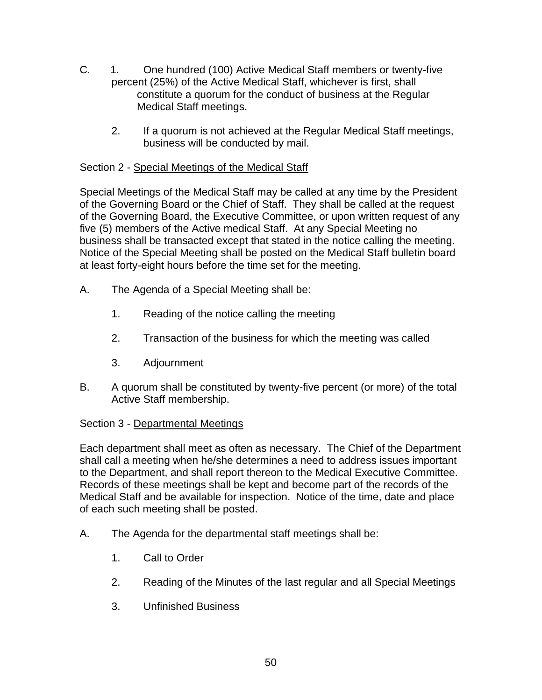- C. 1. One hundred (100) Active Medical Staff members or twenty-five percent (25%) of the Active Medical Staff, whichever is first, shall constitute a quorum for the conduct of business at the Regular Medical Staff meetings.
	- 2. If a quorum is not achieved at the Regular Medical Staff meetings, business will be conducted by mail.

# Section 2 - Special Meetings of the Medical Staff

Special Meetings of the Medical Staff may be called at any time by the President of the Governing Board or the Chief of Staff. They shall be called at the request of the Governing Board, the Executive Committee, or upon written request of any five (5) members of the Active medical Staff. At any Special Meeting no business shall be transacted except that stated in the notice calling the meeting. Notice of the Special Meeting shall be posted on the Medical Staff bulletin board at least forty-eight hours before the time set for the meeting.

- A. The Agenda of a Special Meeting shall be:
	- 1. Reading of the notice calling the meeting
	- 2. Transaction of the business for which the meeting was called
	- 3. Adjournment
- B. A quorum shall be constituted by twenty-five percent (or more) of the total Active Staff membership.

# Section 3 - Departmental Meetings

Each department shall meet as often as necessary. The Chief of the Department shall call a meeting when he/she determines a need to address issues important to the Department, and shall report thereon to the Medical Executive Committee. Records of these meetings shall be kept and become part of the records of the Medical Staff and be available for inspection. Notice of the time, date and place of each such meeting shall be posted.

- A. The Agenda for the departmental staff meetings shall be:
	- 1. Call to Order
	- 2. Reading of the Minutes of the last regular and all Special Meetings
	- 3. Unfinished Business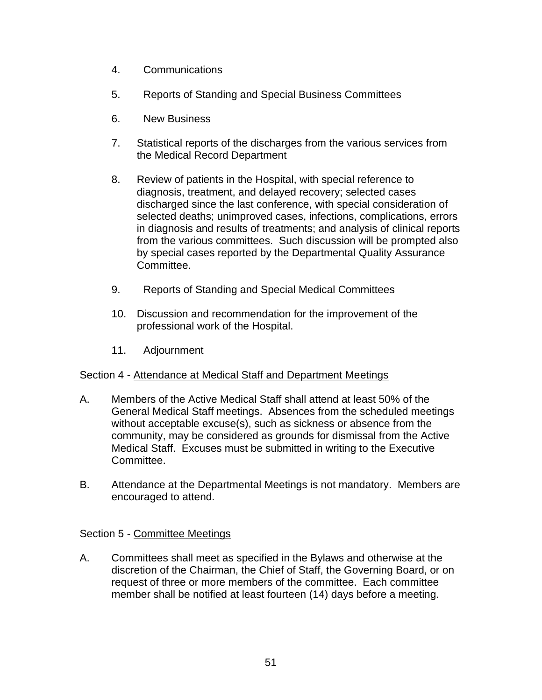- 4. Communications
- 5. Reports of Standing and Special Business Committees
- 6. New Business
- 7. Statistical reports of the discharges from the various services from the Medical Record Department
- 8. Review of patients in the Hospital, with special reference to diagnosis, treatment, and delayed recovery; selected cases discharged since the last conference, with special consideration of selected deaths; unimproved cases, infections, complications, errors in diagnosis and results of treatments; and analysis of clinical reports from the various committees. Such discussion will be prompted also by special cases reported by the Departmental Quality Assurance Committee.
- 9. Reports of Standing and Special Medical Committees
- 10. Discussion and recommendation for the improvement of the professional work of the Hospital.
- 11. Adjournment

# Section 4 - Attendance at Medical Staff and Department Meetings

- A. Members of the Active Medical Staff shall attend at least 50% of the General Medical Staff meetings. Absences from the scheduled meetings without acceptable excuse(s), such as sickness or absence from the community, may be considered as grounds for dismissal from the Active Medical Staff. Excuses must be submitted in writing to the Executive Committee.
- B. Attendance at the Departmental Meetings is not mandatory. Members are encouraged to attend.

# Section 5 - Committee Meetings

A. Committees shall meet as specified in the Bylaws and otherwise at the discretion of the Chairman, the Chief of Staff, the Governing Board, or on request of three or more members of the committee. Each committee member shall be notified at least fourteen (14) days before a meeting.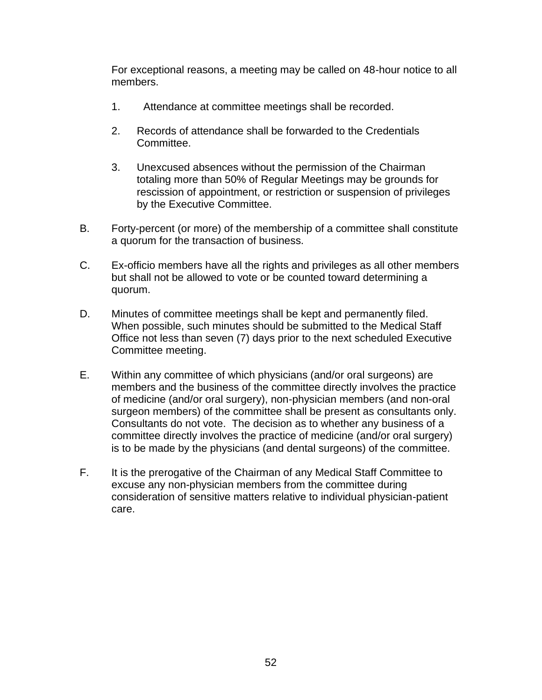For exceptional reasons, a meeting may be called on 48-hour notice to all members.

- 1. Attendance at committee meetings shall be recorded.
- 2. Records of attendance shall be forwarded to the Credentials Committee.
- 3. Unexcused absences without the permission of the Chairman totaling more than 50% of Regular Meetings may be grounds for rescission of appointment, or restriction or suspension of privileges by the Executive Committee.
- B. Forty-percent (or more) of the membership of a committee shall constitute a quorum for the transaction of business.
- C. Ex-officio members have all the rights and privileges as all other members but shall not be allowed to vote or be counted toward determining a quorum.
- D. Minutes of committee meetings shall be kept and permanently filed. When possible, such minutes should be submitted to the Medical Staff Office not less than seven (7) days prior to the next scheduled Executive Committee meeting.
- E. Within any committee of which physicians (and/or oral surgeons) are members and the business of the committee directly involves the practice of medicine (and/or oral surgery), non-physician members (and non-oral surgeon members) of the committee shall be present as consultants only. Consultants do not vote. The decision as to whether any business of a committee directly involves the practice of medicine (and/or oral surgery) is to be made by the physicians (and dental surgeons) of the committee.
- F. It is the prerogative of the Chairman of any Medical Staff Committee to excuse any non-physician members from the committee during consideration of sensitive matters relative to individual physician-patient care.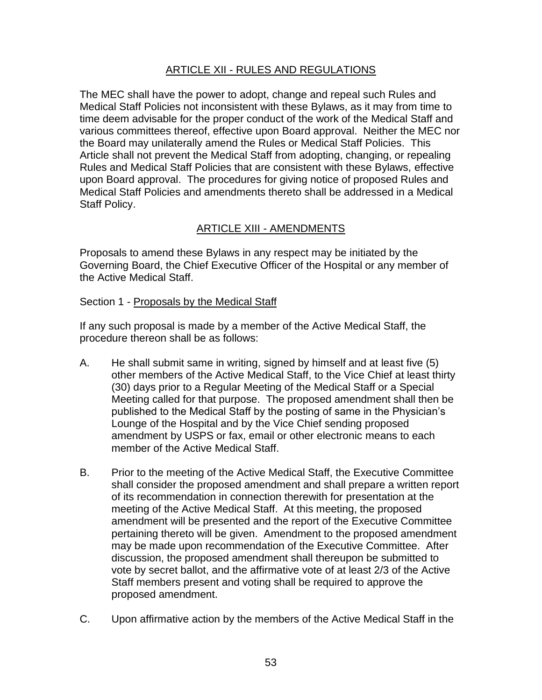# ARTICLE XII - RULES AND REGULATIONS

The MEC shall have the power to adopt, change and repeal such Rules and Medical Staff Policies not inconsistent with these Bylaws, as it may from time to time deem advisable for the proper conduct of the work of the Medical Staff and various committees thereof, effective upon Board approval. Neither the MEC nor the Board may unilaterally amend the Rules or Medical Staff Policies. This Article shall not prevent the Medical Staff from adopting, changing, or repealing Rules and Medical Staff Policies that are consistent with these Bylaws, effective upon Board approval. The procedures for giving notice of proposed Rules and Medical Staff Policies and amendments thereto shall be addressed in a Medical Staff Policy.

# ARTICLE XIII - AMENDMENTS

Proposals to amend these Bylaws in any respect may be initiated by the Governing Board, the Chief Executive Officer of the Hospital or any member of the Active Medical Staff.

### Section 1 - Proposals by the Medical Staff

If any such proposal is made by a member of the Active Medical Staff, the procedure thereon shall be as follows:

- A. He shall submit same in writing, signed by himself and at least five (5) other members of the Active Medical Staff, to the Vice Chief at least thirty (30) days prior to a Regular Meeting of the Medical Staff or a Special Meeting called for that purpose. The proposed amendment shall then be published to the Medical Staff by the posting of same in the Physician's Lounge of the Hospital and by the Vice Chief sending proposed amendment by USPS or fax, email or other electronic means to each member of the Active Medical Staff.
- B. Prior to the meeting of the Active Medical Staff, the Executive Committee shall consider the proposed amendment and shall prepare a written report of its recommendation in connection therewith for presentation at the meeting of the Active Medical Staff. At this meeting, the proposed amendment will be presented and the report of the Executive Committee pertaining thereto will be given. Amendment to the proposed amendment may be made upon recommendation of the Executive Committee. After discussion, the proposed amendment shall thereupon be submitted to vote by secret ballot, and the affirmative vote of at least 2/3 of the Active Staff members present and voting shall be required to approve the proposed amendment.
- C. Upon affirmative action by the members of the Active Medical Staff in the